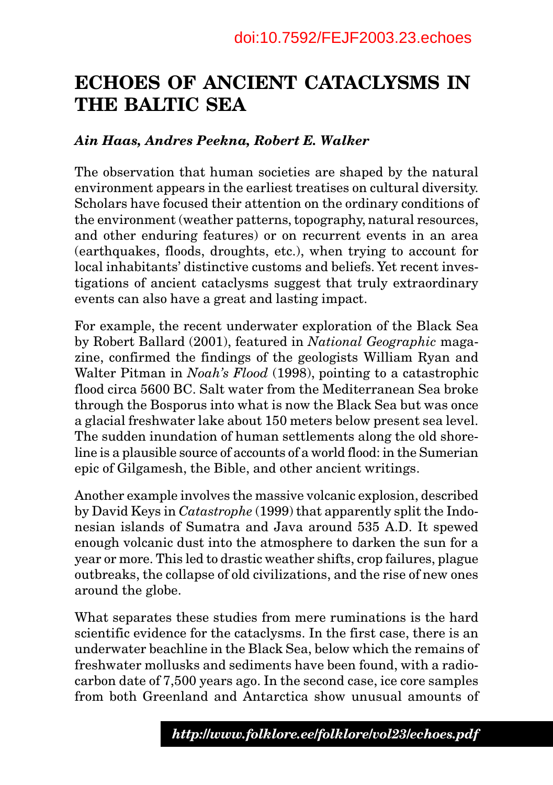# **ECHOES OF ANCIENT CATACLYSMS IN THE BALTIC SEA**

#### *Ain Haas, Andres Peekna, Robert E. Walker*

The observation that human societies are shaped by the natural environment appears in the earliest treatises on cultural diversity. Scholars have focused their attention on the ordinary conditions of the environment (weather patterns, topography, natural resources, and other enduring features) or on recurrent events in an area (earthquakes, floods, droughts, etc.), when trying to account for local inhabitants' distinctive customs and beliefs. Yet recent investigations of ancient cataclysms suggest that truly extraordinary events can also have a great and lasting impact.

For example, the recent underwater exploration of the Black Sea by Robert Ballard (2001), featured in *National Geographic* magazine, confirmed the findings of the geologists William Ryan and Walter Pitman in *Noah's Flood* (1998), pointing to a catastrophic flood circa 5600 BC. Salt water from the Mediterranean Sea broke through the Bosporus into what is now the Black Sea but was once a glacial freshwater lake about 150 meters below present sea level. The sudden inundation of human settlements along the old shoreline is a plausible source of accounts of a world flood: in the Sumerian epic of Gilgamesh, the Bible, and other ancient writings.

Another example involves the massive volcanic explosion, described by David Keys in *Catastrophe* (1999) that apparently split the Indonesian islands of Sumatra and Java around 535 A.D. It spewed enough volcanic dust into the atmosphere to darken the sun for a year or more. This led to drastic weather shifts, crop failures, plague outbreaks, the collapse of old civilizations, and the rise of new ones around the globe.

What separates these studies from mere ruminations is the hard scientific evidence for the cataclysms. In the first case, there is an underwater beachline in the Black Sea, below which the remains of freshwater mollusks and sediments have been found, with a radiocarbon date of 7,500 years ago. In the second case, ice core samples from both Greenland and Antarctica show unusual amounts of

49 *www.folklore.ee/folklore/vol23 http://www.folklore.ee/folklore/vol23/echoes.pdf*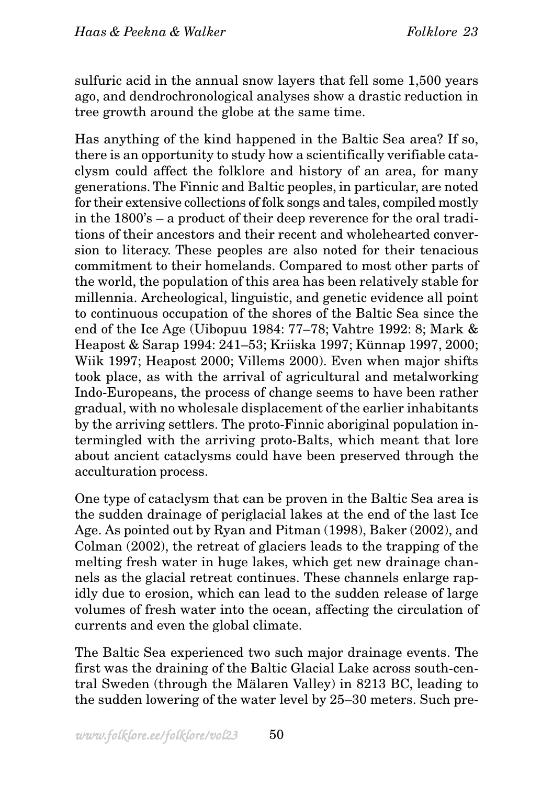sulfuric acid in the annual snow layers that fell some 1,500 years ago, and dendrochronological analyses show a drastic reduction in tree growth around the globe at the same time.

Has anything of the kind happened in the Baltic Sea area? If so, there is an opportunity to study how a scientifically verifiable cataclysm could affect the folklore and history of an area, for many generations. The Finnic and Baltic peoples, in particular, are noted for their extensive collections of folk songs and tales, compiled mostly in the 1800's – a product of their deep reverence for the oral traditions of their ancestors and their recent and wholehearted conversion to literacy. These peoples are also noted for their tenacious commitment to their homelands. Compared to most other parts of the world, the population of this area has been relatively stable for millennia. Archeological, linguistic, and genetic evidence all point to continuous occupation of the shores of the Baltic Sea since the end of the Ice Age (Uibopuu 1984: 77–78; Vahtre 1992: 8; Mark & Heapost & Sarap 1994: 241–53; Kriiska 1997; Künnap 1997, 2000; Wiik 1997; Heapost 2000; Villems 2000). Even when major shifts took place, as with the arrival of agricultural and metalworking Indo-Europeans, the process of change seems to have been rather gradual, with no wholesale displacement of the earlier inhabitants by the arriving settlers. The proto-Finnic aboriginal population intermingled with the arriving proto-Balts, which meant that lore about ancient cataclysms could have been preserved through the acculturation process.

One type of cataclysm that can be proven in the Baltic Sea area is the sudden drainage of periglacial lakes at the end of the last Ice Age. As pointed out by Ryan and Pitman (1998), Baker (2002), and Colman (2002), the retreat of glaciers leads to the trapping of the melting fresh water in huge lakes, which get new drainage channels as the glacial retreat continues. These channels enlarge rapidly due to erosion, which can lead to the sudden release of large volumes of fresh water into the ocean, affecting the circulation of currents and even the global climate.

The Baltic Sea experienced two such major drainage events. The first was the draining of the Baltic Glacial Lake across south-central Sweden (through the Mälaren Valley) in 8213 BC, leading to the sudden lowering of the water level by 25–30 meters. Such pre-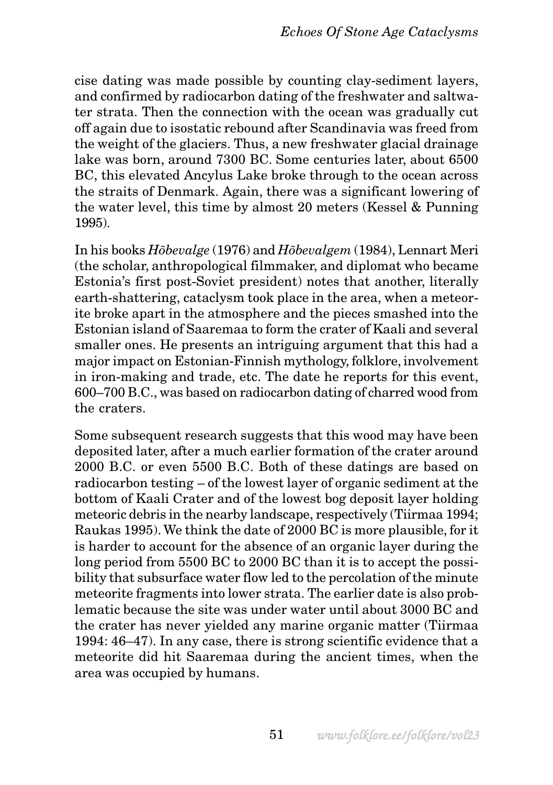cise dating was made possible by counting clay-sediment layers, and confirmed by radiocarbon dating of the freshwater and saltwater strata. Then the connection with the ocean was gradually cut off again due to isostatic rebound after Scandinavia was freed from the weight of the glaciers. Thus, a new freshwater glacial drainage lake was born, around 7300 BC. Some centuries later, about 6500 BC, this elevated Ancylus Lake broke through to the ocean across the straits of Denmark. Again, there was a significant lowering of the water level, this time by almost 20 meters (Kessel & Punning 1995).

In his books *Hõbevalge* (1976) and *Hõbevalgem* (1984), Lennart Meri (the scholar, anthropological filmmaker, and diplomat who became Estonia's first post-Soviet president) notes that another, literally earth-shattering, cataclysm took place in the area, when a meteorite broke apart in the atmosphere and the pieces smashed into the Estonian island of Saaremaa to form the crater of Kaali and several smaller ones. He presents an intriguing argument that this had a major impact on Estonian-Finnish mythology, folklore, involvement in iron-making and trade, etc. The date he reports for this event, 600–700 B.C., was based on radiocarbon dating of charred wood from the craters.

Some subsequent research suggests that this wood may have been deposited later, after a much earlier formation of the crater around 2000 B.C. or even 5500 B.C. Both of these datings are based on radiocarbon testing – of the lowest layer of organic sediment at the bottom of Kaali Crater and of the lowest bog deposit layer holding meteoric debris in the nearby landscape, respectively (Tiirmaa 1994; Raukas 1995). We think the date of 2000 BC is more plausible, for it is harder to account for the absence of an organic layer during the long period from 5500 BC to 2000 BC than it is to accept the possibility that subsurface water flow led to the percolation of the minute meteorite fragments into lower strata. The earlier date is also problematic because the site was under water until about 3000 BC and the crater has never yielded any marine organic matter (Tiirmaa 1994: 46–47). In any case, there is strong scientific evidence that a meteorite did hit Saaremaa during the ancient times, when the area was occupied by humans.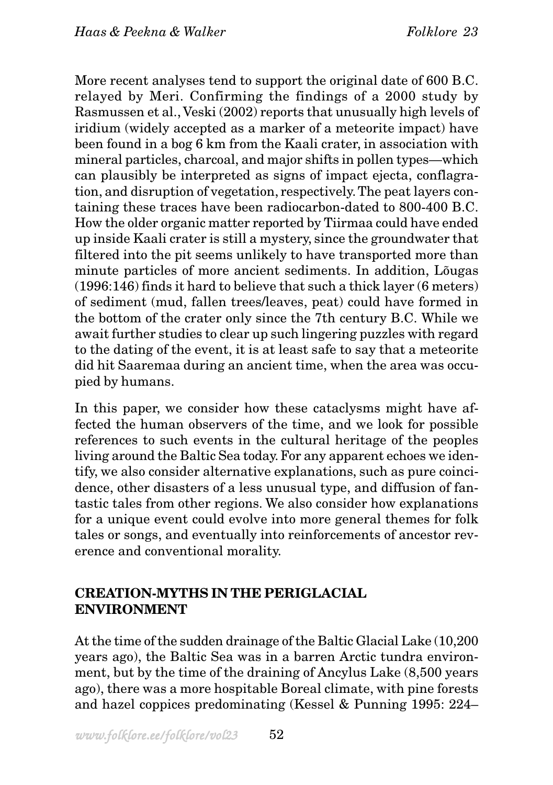More recent analyses tend to support the original date of 600 B.C. relayed by Meri. Confirming the findings of a 2000 study by Rasmussen et al., Veski (2002) reports that unusually high levels of iridium (widely accepted as a marker of a meteorite impact) have been found in a bog 6 km from the Kaali crater, in association with mineral particles, charcoal, and major shifts in pollen types—which can plausibly be interpreted as signs of impact ejecta, conflagration, and disruption of vegetation, respectively. The peat layers containing these traces have been radiocarbon-dated to 800-400 B.C. How the older organic matter reported by Tiirmaa could have ended up inside Kaali crater is still a mystery, since the groundwater that filtered into the pit seems unlikely to have transported more than minute particles of more ancient sediments. In addition, Lõugas (1996:146) finds it hard to believe that such a thick layer (6 meters) of sediment (mud, fallen trees/leaves, peat) could have formed in the bottom of the crater only since the 7th century B.C. While we await further studies to clear up such lingering puzzles with regard to the dating of the event, it is at least safe to say that a meteorite did hit Saaremaa during an ancient time, when the area was occupied by humans.

In this paper, we consider how these cataclysms might have affected the human observers of the time, and we look for possible references to such events in the cultural heritage of the peoples living around the Baltic Sea today. For any apparent echoes we identify, we also consider alternative explanations, such as pure coincidence, other disasters of a less unusual type, and diffusion of fantastic tales from other regions. We also consider how explanations for a unique event could evolve into more general themes for folk tales or songs, and eventually into reinforcements of ancestor reverence and conventional morality.

## **CREATION-MYTHS IN THE PERIGLACIAL ENVIRONMENT**

At the time of the sudden drainage of the Baltic Glacial Lake (10,200 years ago), the Baltic Sea was in a barren Arctic tundra environment, but by the time of the draining of Ancylus Lake (8,500 years ago), there was a more hospitable Boreal climate, with pine forests and hazel coppices predominating (Kessel & Punning 1995: 224–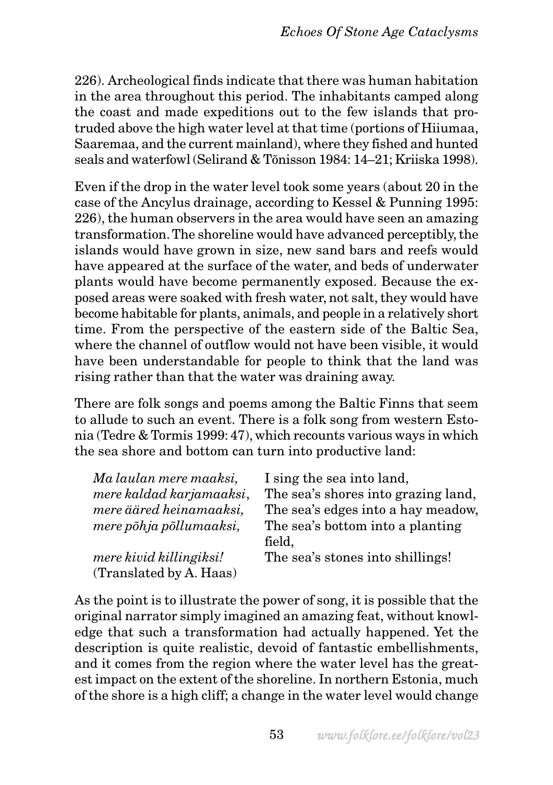226). Archeological finds indicate that there was human habitation in the area throughout this period. The inhabitants camped along the coast and made expeditions out to the few islands that protruded above the high water level at that time (portions of Hiiumaa, Saaremaa, and the current mainland), where they fished and hunted seals and waterfowl (Selirand & Tõnisson 1984: 14–21; Kriiska 1998).

Even if the drop in the water level took some years (about 20 in the case of the Ancylus drainage, according to Kessel & Punning 1995: 226), the human observers in the area would have seen an amazing transformation. The shoreline would have advanced perceptibly, the islands would have grown in size, new sand bars and reefs would have appeared at the surface of the water, and beds of underwater plants would have become permanently exposed. Because the exposed areas were soaked with fresh water, not salt, they would have become habitable for plants, animals, and people in a relatively short time. From the perspective of the eastern side of the Baltic Sea, where the channel of outflow would not have been visible, it would have been understandable for people to think that the land was rising rather than that the water was draining away.

There are folk songs and poems among the Baltic Finns that seem to allude to such an event. There is a folk song from western Estonia (Tedre & Tormis 1999: 47), which recounts various ways in which the sea shore and bottom can turn into productive land:

| I sing the sea into land,           |
|-------------------------------------|
| The sea's shores into grazing land, |
| The sea's edges into a hay meadow,  |
| The sea's bottom into a planting    |
| field,                              |
| The sea's stones into shillings!    |
|                                     |
|                                     |

As the point is to illustrate the power of song, it is possible that the original narrator simply imagined an amazing feat, without knowledge that such a transformation had actually happened. Yet the description is quite realistic, devoid of fantastic embellishments, and it comes from the region where the water level has the greatest impact on the extent of the shoreline. In northern Estonia, much of the shore is a high cliff; a change in the water level would change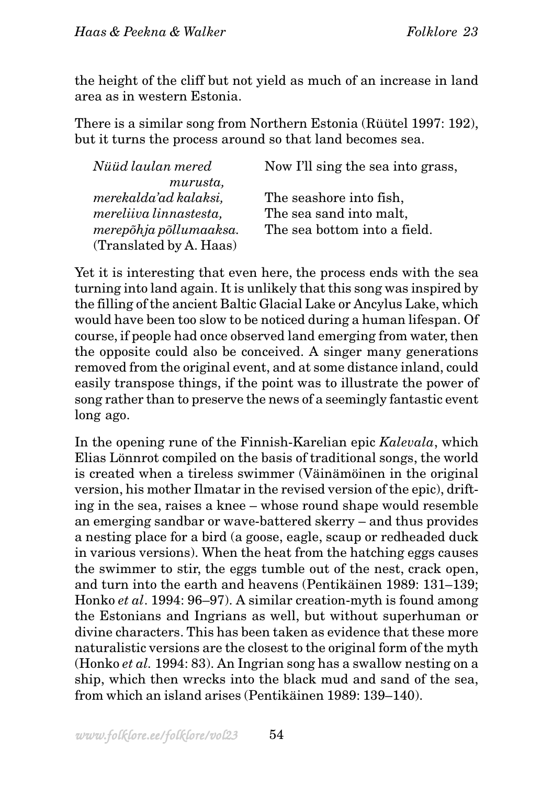the height of the cliff but not yield as much of an increase in land area as in western Estonia.

There is a similar song from Northern Estonia (Rüütel 1997: 192), but it turns the process around so that land becomes sea.

| Nüüd laulan mered       | Now I'll sing the sea into grass, |
|-------------------------|-----------------------------------|
| murusta,                |                                   |
| merekalda'ad kalaksi,   | The seashore into fish,           |
| mereliiva linnastesta,  | The sea sand into malt,           |
| merepõhja põllumaaksa.  | The sea bottom into a field.      |
| (Translated by A. Haas) |                                   |

Yet it is interesting that even here, the process ends with the sea turning into land again. It is unlikely that this song was inspired by the filling of the ancient Baltic Glacial Lake or Ancylus Lake, which would have been too slow to be noticed during a human lifespan. Of course, if people had once observed land emerging from water, then the opposite could also be conceived. A singer many generations removed from the original event, and at some distance inland, could easily transpose things, if the point was to illustrate the power of song rather than to preserve the news of a seemingly fantastic event long ago.

In the opening rune of the Finnish-Karelian epic *Kalevala*, which Elias Lönnrot compiled on the basis of traditional songs, the world is created when a tireless swimmer (Väinämöinen in the original version, his mother Ilmatar in the revised version of the epic), drifting in the sea, raises a knee – whose round shape would resemble an emerging sandbar or wave-battered skerry – and thus provides a nesting place for a bird (a goose, eagle, scaup or redheaded duck in various versions). When the heat from the hatching eggs causes the swimmer to stir, the eggs tumble out of the nest, crack open, and turn into the earth and heavens (Pentikäinen 1989: 131–139; Honko *et al*. 1994: 96–97). A similar creation-myth is found among the Estonians and Ingrians as well, but without superhuman or divine characters. This has been taken as evidence that these more naturalistic versions are the closest to the original form of the myth (Honko *et al.* 1994: 83). An Ingrian song has a swallow nesting on a ship, which then wrecks into the black mud and sand of the sea, from which an island arises (Pentikäinen 1989: 139–140).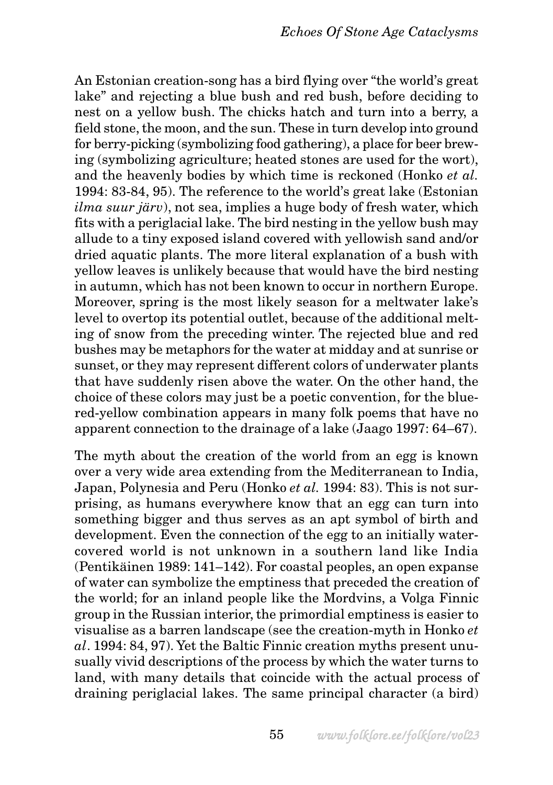An Estonian creation-song has a bird flying over "the world's great lake" and rejecting a blue bush and red bush, before deciding to nest on a yellow bush. The chicks hatch and turn into a berry, a field stone, the moon, and the sun. These in turn develop into ground for berry-picking (symbolizing food gathering), a place for beer brewing (symbolizing agriculture; heated stones are used for the wort), and the heavenly bodies by which time is reckoned (Honko *et al.* 1994: 83-84, 95). The reference to the world's great lake (Estonian *ilma suur järv*), not sea, implies a huge body of fresh water, which fits with a periglacial lake. The bird nesting in the yellow bush may allude to a tiny exposed island covered with yellowish sand and/or dried aquatic plants. The more literal explanation of a bush with yellow leaves is unlikely because that would have the bird nesting in autumn, which has not been known to occur in northern Europe. Moreover, spring is the most likely season for a meltwater lake's level to overtop its potential outlet, because of the additional melting of snow from the preceding winter. The rejected blue and red bushes may be metaphors for the water at midday and at sunrise or sunset, or they may represent different colors of underwater plants that have suddenly risen above the water. On the other hand, the choice of these colors may just be a poetic convention, for the bluered-yellow combination appears in many folk poems that have no apparent connection to the drainage of a lake (Jaago 1997: 64–67).

The myth about the creation of the world from an egg is known over a very wide area extending from the Mediterranean to India, Japan, Polynesia and Peru (Honko *et al.* 1994: 83). This is not surprising, as humans everywhere know that an egg can turn into something bigger and thus serves as an apt symbol of birth and development. Even the connection of the egg to an initially watercovered world is not unknown in a southern land like India (Pentikäinen 1989: 141–142). For coastal peoples, an open expanse of water can symbolize the emptiness that preceded the creation of the world; for an inland people like the Mordvins, a Volga Finnic group in the Russian interior, the primordial emptiness is easier to visualise as a barren landscape (see the creation-myth in Honko *et al*. 1994: 84, 97). Yet the Baltic Finnic creation myths present unusually vivid descriptions of the process by which the water turns to land, with many details that coincide with the actual process of draining periglacial lakes. The same principal character (a bird)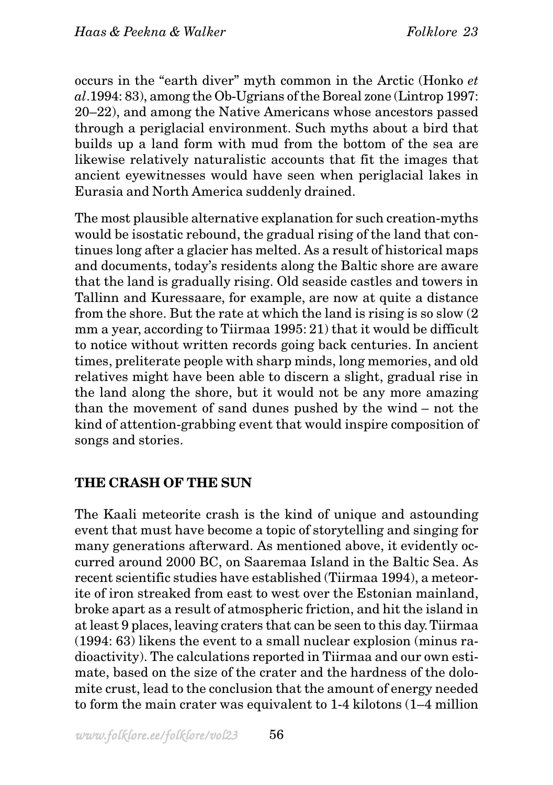occurs in the "earth diver" myth common in the Arctic (Honko *et al*.1994: 83), among the Ob-Ugrians of the Boreal zone (Lintrop 1997: 20–22), and among the Native Americans whose ancestors passed through a periglacial environment. Such myths about a bird that builds up a land form with mud from the bottom of the sea are likewise relatively naturalistic accounts that fit the images that ancient eyewitnesses would have seen when periglacial lakes in Eurasia and North America suddenly drained.

The most plausible alternative explanation for such creation-myths would be isostatic rebound, the gradual rising of the land that continues long after a glacier has melted. As a result of historical maps and documents, today's residents along the Baltic shore are aware that the land is gradually rising. Old seaside castles and towers in Tallinn and Kuressaare, for example, are now at quite a distance from the shore. But the rate at which the land is rising is so slow (2 mm a year, according to Tiirmaa 1995: 21) that it would be difficult to notice without written records going back centuries. In ancient times, preliterate people with sharp minds, long memories, and old relatives might have been able to discern a slight, gradual rise in the land along the shore, but it would not be any more amazing than the movement of sand dunes pushed by the wind – not the kind of attention-grabbing event that would inspire composition of songs and stories.

### **THE CRASH OF THE SUN**

The Kaali meteorite crash is the kind of unique and astounding event that must have become a topic of storytelling and singing for many generations afterward. As mentioned above, it evidently occurred around 2000 BC, on Saaremaa Island in the Baltic Sea. As recent scientific studies have established (Tiirmaa 1994), a meteorite of iron streaked from east to west over the Estonian mainland, broke apart as a result of atmospheric friction, and hit the island in at least 9 places, leaving craters that can be seen to this day. Tiirmaa (1994: 63) likens the event to a small nuclear explosion (minus radioactivity). The calculations reported in Tiirmaa and our own estimate, based on the size of the crater and the hardness of the dolomite crust, lead to the conclusion that the amount of energy needed to form the main crater was equivalent to 1-4 kilotons (1–4 million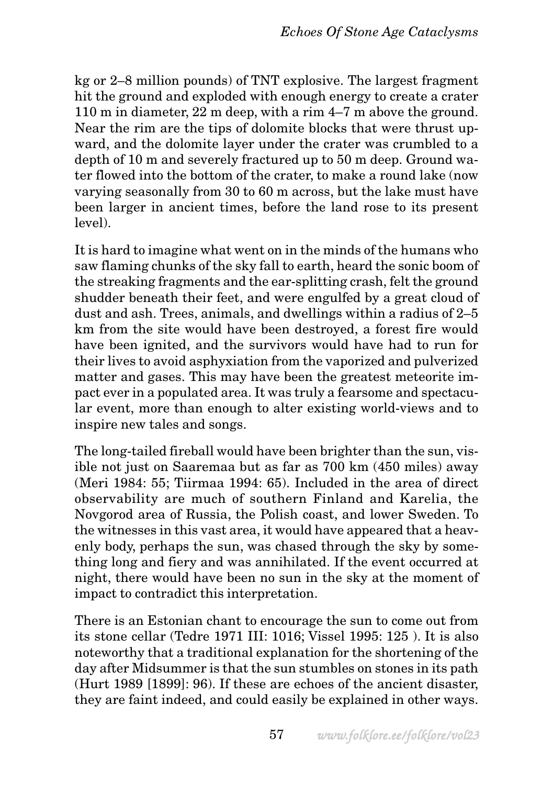kg or 2–8 million pounds) of TNT explosive. The largest fragment hit the ground and exploded with enough energy to create a crater 110 m in diameter, 22 m deep, with a rim 4–7 m above the ground. Near the rim are the tips of dolomite blocks that were thrust upward, and the dolomite layer under the crater was crumbled to a depth of 10 m and severely fractured up to 50 m deep. Ground water flowed into the bottom of the crater, to make a round lake (now varying seasonally from 30 to 60 m across, but the lake must have been larger in ancient times, before the land rose to its present level).

It is hard to imagine what went on in the minds of the humans who saw flaming chunks of the sky fall to earth, heard the sonic boom of the streaking fragments and the ear-splitting crash, felt the ground shudder beneath their feet, and were engulfed by a great cloud of dust and ash. Trees, animals, and dwellings within a radius of 2–5 km from the site would have been destroyed, a forest fire would have been ignited, and the survivors would have had to run for their lives to avoid asphyxiation from the vaporized and pulverized matter and gases. This may have been the greatest meteorite impact ever in a populated area. It was truly a fearsome and spectacular event, more than enough to alter existing world-views and to inspire new tales and songs.

The long-tailed fireball would have been brighter than the sun, visible not just on Saaremaa but as far as 700 km (450 miles) away (Meri 1984: 55; Tiirmaa 1994: 65). Included in the area of direct observability are much of southern Finland and Karelia, the Novgorod area of Russia, the Polish coast, and lower Sweden. To the witnesses in this vast area, it would have appeared that a heavenly body, perhaps the sun, was chased through the sky by something long and fiery and was annihilated. If the event occurred at night, there would have been no sun in the sky at the moment of impact to contradict this interpretation.

There is an Estonian chant to encourage the sun to come out from its stone cellar (Tedre 1971 III: 1016; Vissel 1995: 125 ). It is also noteworthy that a traditional explanation for the shortening of the day after Midsummer is that the sun stumbles on stones in its path (Hurt 1989 [1899]: 96). If these are echoes of the ancient disaster, they are faint indeed, and could easily be explained in other ways.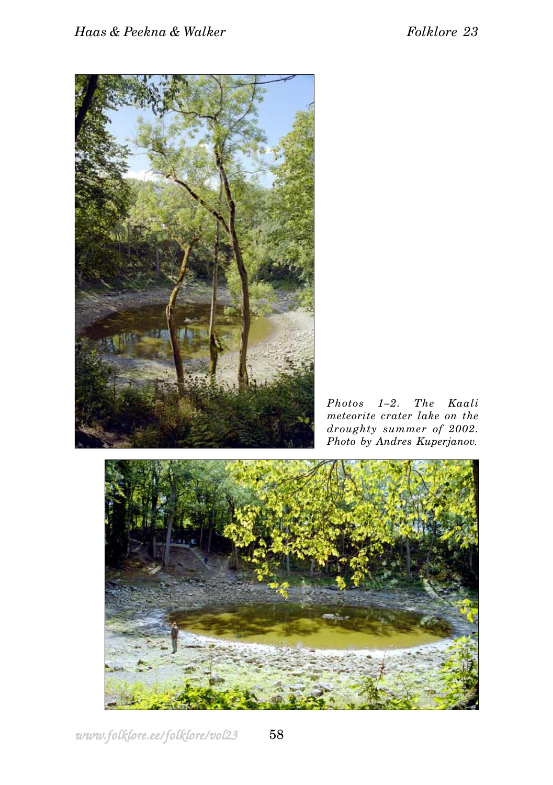

*Photos 1–2. The Kaali meteorite crater lake on the droughty summer of 2002. Photo by Andres Kuperjanov.*

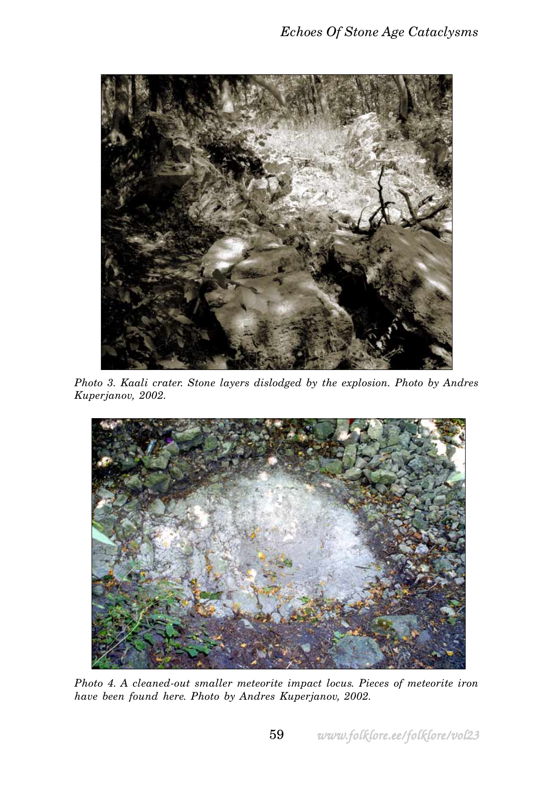

*Photo 3. Kaali crater. Stone layers dislodged by the explosion. Photo by Andres Kuperjanov, 2002.*



*Photo 4. A cleaned-out smaller meteorite impact locus. Pieces of meteorite iron have been found here. Photo by Andres Kuperjanov, 2002.*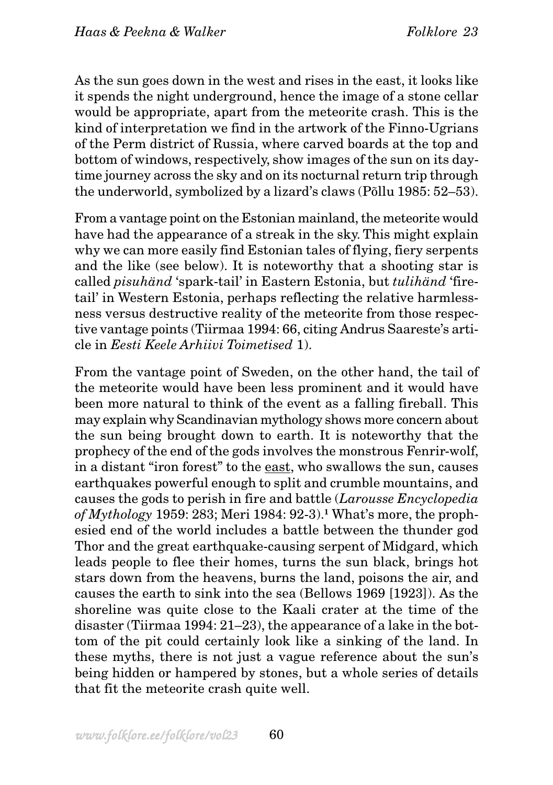As the sun goes down in the west and rises in the east, it looks like it spends the night underground, hence the image of a stone cellar would be appropriate, apart from the meteorite crash. This is the kind of interpretation we find in the artwork of the Finno-Ugrians of the Perm district of Russia, where carved boards at the top and bottom of windows, respectively, show images of the sun on its daytime journey across the sky and on its nocturnal return trip through the underworld, symbolized by a lizard's claws (Põllu 1985: 52–53).

From a vantage point on the Estonian mainland, the meteorite would have had the appearance of a streak in the sky. This might explain why we can more easily find Estonian tales of flying, fiery serpents and the like (see below). It is noteworthy that a shooting star is called *pisuhänd* 'spark-tail' in Eastern Estonia, but *tulihänd* 'firetail' in Western Estonia, perhaps reflecting the relative harmlessness versus destructive reality of the meteorite from those respective vantage points (Tiirmaa 1994: 66, citing Andrus Saareste's article in *Eesti Keele Arhiivi Toimetised* 1).

From the vantage point of Sweden, on the other hand, the tail of the meteorite would have been less prominent and it would have been more natural to think of the event as a falling fireball. This may explain why Scandinavian mythology shows more concern about the sun being brought down to earth. It is noteworthy that the prophecy of the end of the gods involves the monstrous Fenrir-wolf, in a distant "iron forest" to the east, who swallows the sun, causes earthquakes powerful enough to split and crumble mountains, and causes the gods to perish in fire and battle (*Larousse Encyclopedia of Mythology* 1959: 283; Meri 1984: 92-3).**1** What's more, the prophesied end of the world includes a battle between the thunder god Thor and the great earthquake-causing serpent of Midgard, which leads people to flee their homes, turns the sun black, brings hot stars down from the heavens, burns the land, poisons the air, and causes the earth to sink into the sea (Bellows 1969 [1923]). As the shoreline was quite close to the Kaali crater at the time of the disaster (Tiirmaa 1994: 21–23), the appearance of a lake in the bottom of the pit could certainly look like a sinking of the land. In these myths, there is not just a vague reference about the sun's being hidden or hampered by stones, but a whole series of details that fit the meteorite crash quite well.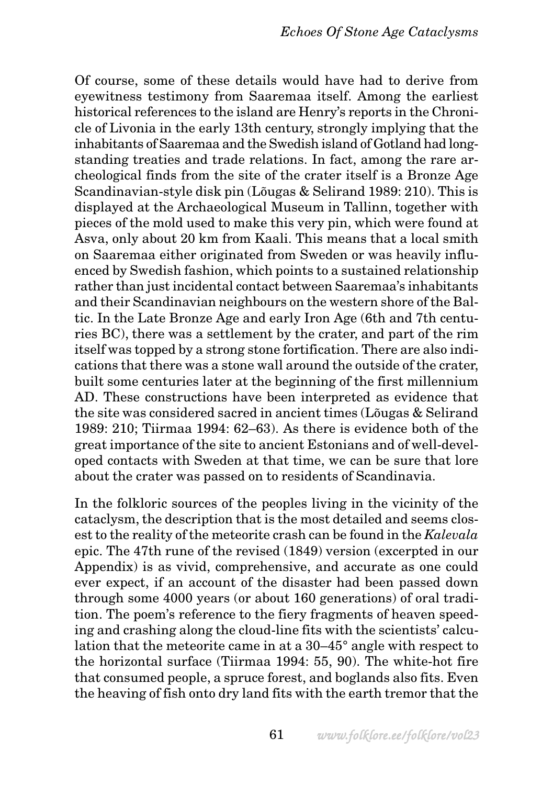Of course, some of these details would have had to derive from eyewitness testimony from Saaremaa itself. Among the earliest historical references to the island are Henry's reports in the Chronicle of Livonia in the early 13th century, strongly implying that the inhabitants of Saaremaa and the Swedish island of Gotland had longstanding treaties and trade relations. In fact, among the rare archeological finds from the site of the crater itself is a Bronze Age Scandinavian-style disk pin (Lõugas & Selirand 1989: 210). This is displayed at the Archaeological Museum in Tallinn, together with pieces of the mold used to make this very pin, which were found at Asva, only about 20 km from Kaali. This means that a local smith on Saaremaa either originated from Sweden or was heavily influenced by Swedish fashion, which points to a sustained relationship rather than just incidental contact between Saaremaa's inhabitants and their Scandinavian neighbours on the western shore of the Baltic. In the Late Bronze Age and early Iron Age (6th and 7th centuries BC), there was a settlement by the crater, and part of the rim itself was topped by a strong stone fortification. There are also indications that there was a stone wall around the outside of the crater, built some centuries later at the beginning of the first millennium AD. These constructions have been interpreted as evidence that the site was considered sacred in ancient times (Lõugas & Selirand 1989: 210; Tiirmaa 1994: 62–63). As there is evidence both of the great importance of the site to ancient Estonians and of well-developed contacts with Sweden at that time, we can be sure that lore about the crater was passed on to residents of Scandinavia.

In the folkloric sources of the peoples living in the vicinity of the cataclysm, the description that is the most detailed and seems closest to the reality of the meteorite crash can be found in the *Kalevala* epic. The 47th rune of the revised (1849) version (excerpted in our Appendix) is as vivid, comprehensive, and accurate as one could ever expect, if an account of the disaster had been passed down through some 4000 years (or about 160 generations) of oral tradition. The poem's reference to the fiery fragments of heaven speeding and crashing along the cloud-line fits with the scientists' calculation that the meteorite came in at a 30–45° angle with respect to the horizontal surface (Tiirmaa 1994: 55, 90). The white-hot fire that consumed people, a spruce forest, and boglands also fits. Even the heaving of fish onto dry land fits with the earth tremor that the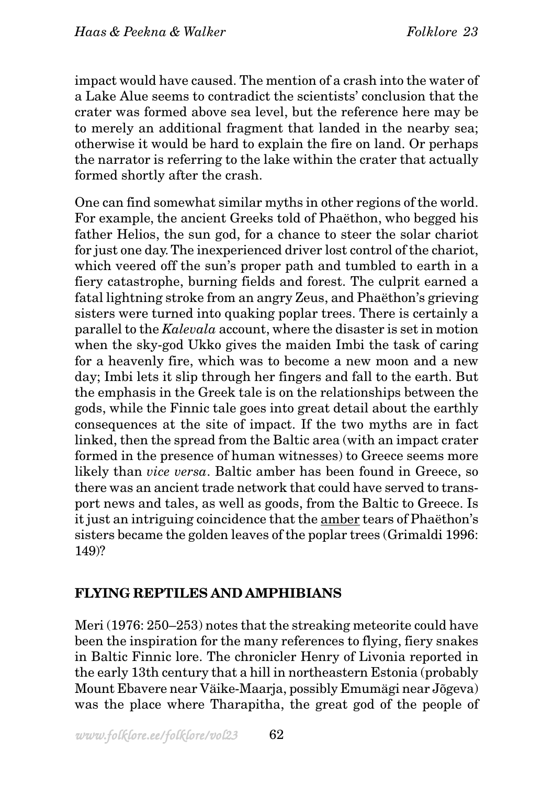impact would have caused. The mention of a crash into the water of a Lake Alue seems to contradict the scientists' conclusion that the crater was formed above sea level, but the reference here may be to merely an additional fragment that landed in the nearby sea; otherwise it would be hard to explain the fire on land. Or perhaps the narrator is referring to the lake within the crater that actually formed shortly after the crash.

One can find somewhat similar myths in other regions of the world. For example, the ancient Greeks told of Phaëthon, who begged his father Helios, the sun god, for a chance to steer the solar chariot for just one day. The inexperienced driver lost control of the chariot, which veered off the sun's proper path and tumbled to earth in a fiery catastrophe, burning fields and forest. The culprit earned a fatal lightning stroke from an angry Zeus, and Phaëthon's grieving sisters were turned into quaking poplar trees. There is certainly a parallel to the *Kalevala* account, where the disaster is set in motion when the sky-god Ukko gives the maiden Imbi the task of caring for a heavenly fire, which was to become a new moon and a new day; Imbi lets it slip through her fingers and fall to the earth. But the emphasis in the Greek tale is on the relationships between the gods, while the Finnic tale goes into great detail about the earthly consequences at the site of impact. If the two myths are in fact linked, then the spread from the Baltic area (with an impact crater formed in the presence of human witnesses) to Greece seems more likely than *vice versa*. Baltic amber has been found in Greece, so there was an ancient trade network that could have served to transport news and tales, as well as goods, from the Baltic to Greece. Is it just an intriguing coincidence that the amber tears of Phaëthon's sisters became the golden leaves of the poplar trees (Grimaldi 1996: 149)?

# **FLYING REPTILES AND AMPHIBIANS**

Meri (1976: 250–253) notes that the streaking meteorite could have been the inspiration for the many references to flying, fiery snakes in Baltic Finnic lore. The chronicler Henry of Livonia reported in the early 13th century that a hill in northeastern Estonia (probably Mount Ebavere near Väike-Maarja, possibly Emumägi near Jõgeva) was the place where Tharapitha, the great god of the people of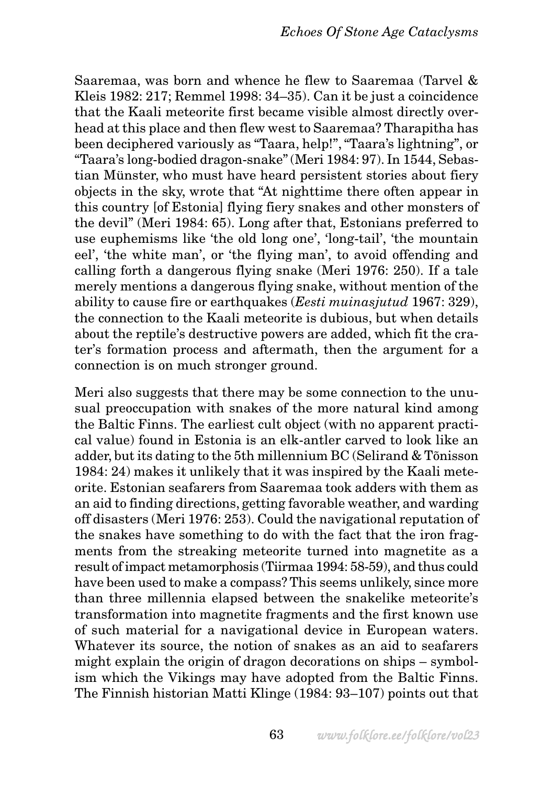Saaremaa, was born and whence he flew to Saaremaa (Tarvel & Kleis 1982: 217; Remmel 1998: 34–35). Can it be just a coincidence that the Kaali meteorite first became visible almost directly overhead at this place and then flew west to Saaremaa? Tharapitha has been deciphered variously as "Taara, help!", "Taara's lightning", or "Taara's long-bodied dragon-snake" (Meri 1984: 97). In 1544, Sebastian Münster, who must have heard persistent stories about fiery objects in the sky, wrote that "At nighttime there often appear in this country [of Estonia] flying fiery snakes and other monsters of the devil" (Meri 1984: 65). Long after that, Estonians preferred to use euphemisms like 'the old long one', 'long-tail', 'the mountain eel', 'the white man', or 'the flying man', to avoid offending and calling forth a dangerous flying snake (Meri 1976: 250). If a tale merely mentions a dangerous flying snake, without mention of the ability to cause fire or earthquakes (*Eesti muinasjutud* 1967: 329), the connection to the Kaali meteorite is dubious, but when details about the reptile's destructive powers are added, which fit the crater's formation process and aftermath, then the argument for a connection is on much stronger ground.

Meri also suggests that there may be some connection to the unusual preoccupation with snakes of the more natural kind among the Baltic Finns. The earliest cult object (with no apparent practical value) found in Estonia is an elk-antler carved to look like an adder, but its dating to the 5th millennium BC (Selirand & Tõnisson 1984: 24) makes it unlikely that it was inspired by the Kaali meteorite. Estonian seafarers from Saaremaa took adders with them as an aid to finding directions, getting favorable weather, and warding off disasters (Meri 1976: 253). Could the navigational reputation of the snakes have something to do with the fact that the iron fragments from the streaking meteorite turned into magnetite as a result of impact metamorphosis (Tiirmaa 1994: 58-59), and thus could have been used to make a compass? This seems unlikely, since more than three millennia elapsed between the snakelike meteorite's transformation into magnetite fragments and the first known use of such material for a navigational device in European waters. Whatever its source, the notion of snakes as an aid to seafarers might explain the origin of dragon decorations on ships – symbolism which the Vikings may have adopted from the Baltic Finns. The Finnish historian Matti Klinge (1984: 93–107) points out that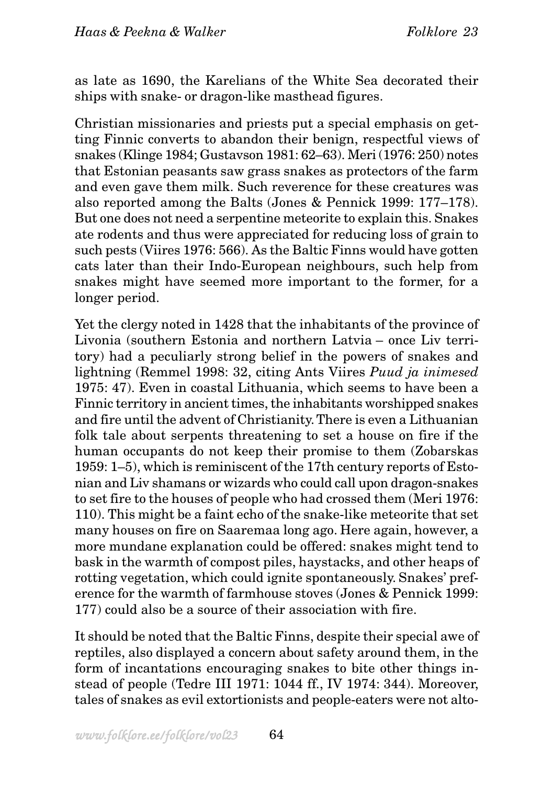as late as 1690, the Karelians of the White Sea decorated their ships with snake- or dragon-like masthead figures.

Christian missionaries and priests put a special emphasis on getting Finnic converts to abandon their benign, respectful views of snakes (Klinge 1984; Gustavson 1981: 62–63). Meri (1976: 250) notes that Estonian peasants saw grass snakes as protectors of the farm and even gave them milk. Such reverence for these creatures was also reported among the Balts (Jones & Pennick 1999: 177–178). But one does not need a serpentine meteorite to explain this. Snakes ate rodents and thus were appreciated for reducing loss of grain to such pests (Viires 1976: 566). As the Baltic Finns would have gotten cats later than their Indo-European neighbours, such help from snakes might have seemed more important to the former, for a longer period.

Yet the clergy noted in 1428 that the inhabitants of the province of Livonia (southern Estonia and northern Latvia – once Liv territory) had a peculiarly strong belief in the powers of snakes and lightning (Remmel 1998: 32, citing Ants Viires *Puud ja inimesed* 1975: 47). Even in coastal Lithuania, which seems to have been a Finnic territory in ancient times, the inhabitants worshipped snakes and fire until the advent of Christianity. There is even a Lithuanian folk tale about serpents threatening to set a house on fire if the human occupants do not keep their promise to them (Zobarskas 1959: 1–5), which is reminiscent of the 17th century reports of Estonian and Liv shamans or wizards who could call upon dragon-snakes to set fire to the houses of people who had crossed them (Meri 1976: 110). This might be a faint echo of the snake-like meteorite that set many houses on fire on Saaremaa long ago. Here again, however, a more mundane explanation could be offered: snakes might tend to bask in the warmth of compost piles, haystacks, and other heaps of rotting vegetation, which could ignite spontaneously. Snakes' preference for the warmth of farmhouse stoves (Jones & Pennick 1999: 177) could also be a source of their association with fire.

It should be noted that the Baltic Finns, despite their special awe of reptiles, also displayed a concern about safety around them, in the form of incantations encouraging snakes to bite other things instead of people (Tedre III 1971: 1044 ff., IV 1974: 344). Moreover, tales of snakes as evil extortionists and people-eaters were not alto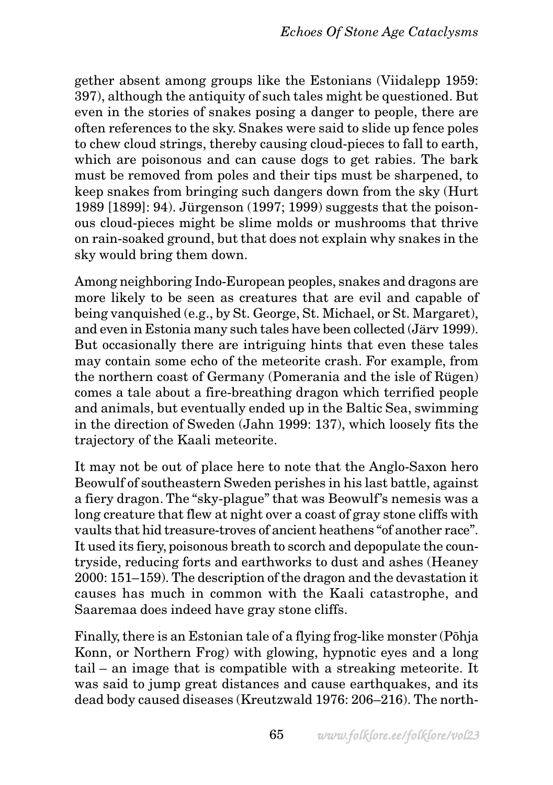gether absent among groups like the Estonians (Viidalepp 1959: 397), although the antiquity of such tales might be questioned. But even in the stories of snakes posing a danger to people, there are often references to the sky. Snakes were said to slide up fence poles to chew cloud strings, thereby causing cloud-pieces to fall to earth, which are poisonous and can cause dogs to get rabies. The bark must be removed from poles and their tips must be sharpened, to keep snakes from bringing such dangers down from the sky (Hurt 1989 [1899]: 94). Jürgenson (1997; 1999) suggests that the poisonous cloud-pieces might be slime molds or mushrooms that thrive on rain-soaked ground, but that does not explain why snakes in the sky would bring them down.

Among neighboring Indo-European peoples, snakes and dragons are more likely to be seen as creatures that are evil and capable of being vanquished (e.g., by St. George, St. Michael, or St. Margaret), and even in Estonia many such tales have been collected (Järv 1999). But occasionally there are intriguing hints that even these tales may contain some echo of the meteorite crash. For example, from the northern coast of Germany (Pomerania and the isle of Rügen) comes a tale about a fire-breathing dragon which terrified people and animals, but eventually ended up in the Baltic Sea, swimming in the direction of Sweden (Jahn 1999: 137), which loosely fits the trajectory of the Kaali meteorite.

It may not be out of place here to note that the Anglo-Saxon hero Beowulf of southeastern Sweden perishes in his last battle, against a fiery dragon. The "sky-plague" that was Beowulf's nemesis was a long creature that flew at night over a coast of gray stone cliffs with vaults that hid treasure-troves of ancient heathens "of another race". It used its fiery, poisonous breath to scorch and depopulate the countryside, reducing forts and earthworks to dust and ashes (Heaney 2000: 151–159). The description of the dragon and the devastation it causes has much in common with the Kaali catastrophe, and Saaremaa does indeed have gray stone cliffs.

Finally, there is an Estonian tale of a flying frog-like monster (Põhja Konn, or Northern Frog) with glowing, hypnotic eyes and a long tail – an image that is compatible with a streaking meteorite. It was said to jump great distances and cause earthquakes, and its dead body caused diseases (Kreutzwald 1976: 206–216). The north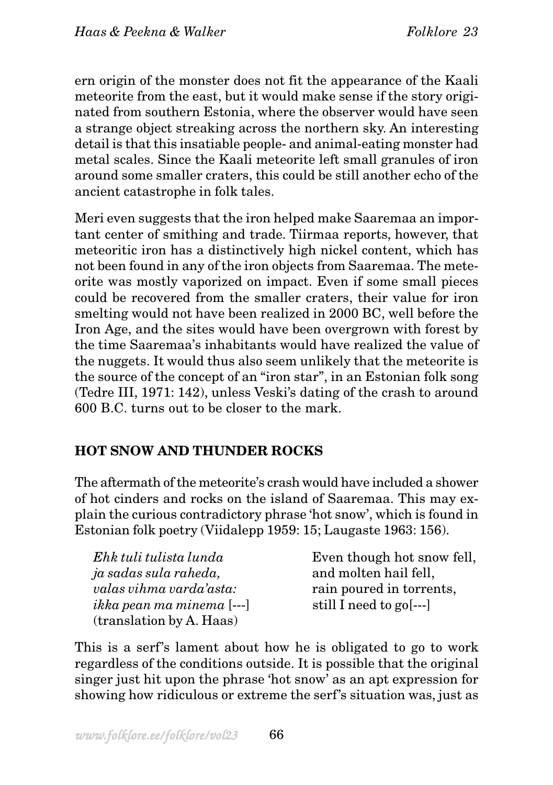ern origin of the monster does not fit the appearance of the Kaali meteorite from the east, but it would make sense if the story originated from southern Estonia, where the observer would have seen a strange object streaking across the northern sky. An interesting detail is that this insatiable people- and animal-eating monster had metal scales. Since the Kaali meteorite left small granules of iron around some smaller craters, this could be still another echo of the ancient catastrophe in folk tales.

Meri even suggests that the iron helped make Saaremaa an important center of smithing and trade. Tiirmaa reports, however, that meteoritic iron has a distinctively high nickel content, which has not been found in any of the iron objects from Saaremaa. The meteorite was mostly vaporized on impact. Even if some small pieces could be recovered from the smaller craters, their value for iron smelting would not have been realized in 2000 BC, well before the Iron Age, and the sites would have been overgrown with forest by the time Saaremaa's inhabitants would have realized the value of the nuggets. It would thus also seem unlikely that the meteorite is the source of the concept of an "iron star", in an Estonian folk song (Tedre III, 1971: 142), unless Veski's dating of the crash to around 600 B.C. turns out to be closer to the mark.

# **HOT SNOW AND THUNDER ROCKS**

The aftermath of the meteorite's crash would have included a shower of hot cinders and rocks on the island of Saaremaa. This may explain the curious contradictory phrase 'hot snow', which is found in Estonian folk poetry (Viidalepp 1959: 15; Laugaste 1963: 156).

| Ehk tuli tulista lunda           | Even though hot snow fell, |
|----------------------------------|----------------------------|
| ja sadas sula raheda,            | and molten hail fell,      |
| valas vihma varda'asta:          | rain poured in torrents,   |
| <i>ikka pean ma minema</i> [---] | still I need to go[---]    |
| (translation by A. Haas)         |                            |

This is a serf's lament about how he is obligated to go to work regardless of the conditions outside. It is possible that the original singer just hit upon the phrase 'hot snow' as an apt expression for showing how ridiculous or extreme the serf's situation was, just as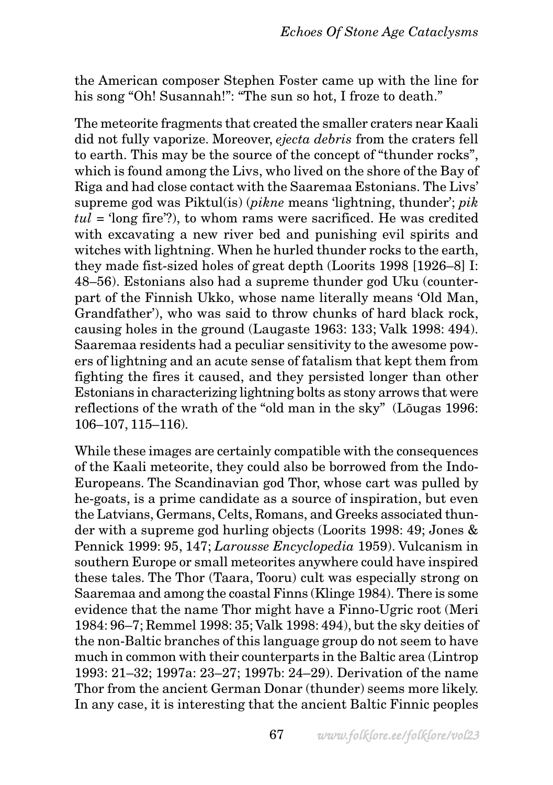the American composer Stephen Foster came up with the line for his song "Oh! Susannah!": "The sun so hot, I froze to death."

The meteorite fragments that created the smaller craters near Kaali did not fully vaporize. Moreover, *ejecta debris* from the craters fell to earth. This may be the source of the concept of "thunder rocks", which is found among the Livs, who lived on the shore of the Bay of Riga and had close contact with the Saaremaa Estonians. The Livs' supreme god was Piktul(is) (*pikne* means 'lightning, thunder'; *pik tul* = 'long fire'?), to whom rams were sacrificed. He was credited with excavating a new river bed and punishing evil spirits and witches with lightning. When he hurled thunder rocks to the earth, they made fist-sized holes of great depth (Loorits 1998 [1926–8] I: 48–56). Estonians also had a supreme thunder god Uku (counterpart of the Finnish Ukko, whose name literally means 'Old Man, Grandfather'), who was said to throw chunks of hard black rock, causing holes in the ground (Laugaste 1963: 133; Valk 1998: 494). Saaremaa residents had a peculiar sensitivity to the awesome powers of lightning and an acute sense of fatalism that kept them from fighting the fires it caused, and they persisted longer than other Estonians in characterizing lightning bolts as stony arrows that were reflections of the wrath of the "old man in the sky" (Lõugas 1996: 106–107, 115–116).

While these images are certainly compatible with the consequences of the Kaali meteorite, they could also be borrowed from the Indo-Europeans. The Scandinavian god Thor, whose cart was pulled by he-goats, is a prime candidate as a source of inspiration, but even the Latvians, Germans, Celts, Romans, and Greeks associated thunder with a supreme god hurling objects (Loorits 1998: 49; Jones & Pennick 1999: 95, 147; *Larousse Encyclopedia* 1959). Vulcanism in southern Europe or small meteorites anywhere could have inspired these tales. The Thor (Taara, Tooru) cult was especially strong on Saaremaa and among the coastal Finns (Klinge 1984). There is some evidence that the name Thor might have a Finno-Ugric root (Meri 1984: 96–7; Remmel 1998: 35; Valk 1998: 494), but the sky deities of the non-Baltic branches of this language group do not seem to have much in common with their counterparts in the Baltic area (Lintrop 1993: 21–32; 1997a: 23–27; 1997b: 24–29). Derivation of the name Thor from the ancient German Donar (thunder) seems more likely. In any case, it is interesting that the ancient Baltic Finnic peoples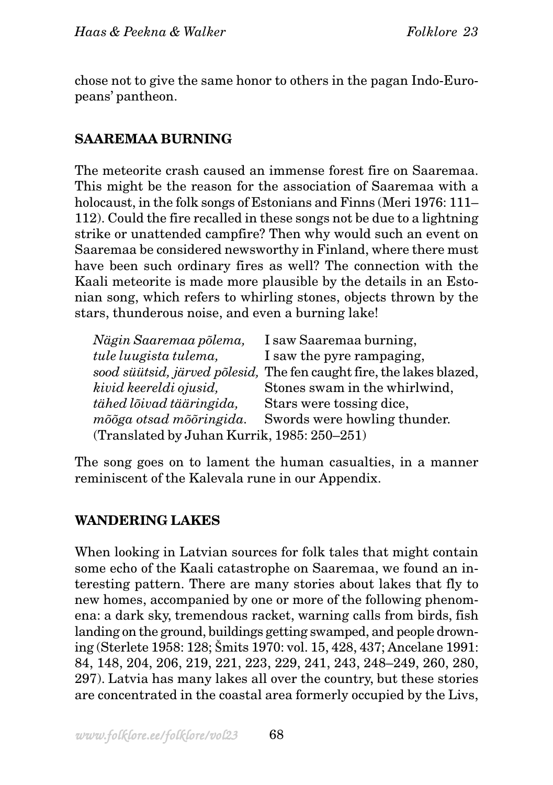chose not to give the same honor to others in the pagan Indo-Europeans' pantheon.

## **SAAREMAA BURNING**

The meteorite crash caused an immense forest fire on Saaremaa. This might be the reason for the association of Saaremaa with a holocaust, in the folk songs of Estonians and Finns (Meri 1976: 111– 112). Could the fire recalled in these songs not be due to a lightning strike or unattended campfire? Then why would such an event on Saaremaa be considered newsworthy in Finland, where there must have been such ordinary fires as well? The connection with the Kaali meteorite is made more plausible by the details in an Estonian song, which refers to whirling stones, objects thrown by the stars, thunderous noise, and even a burning lake!

| Nägin Saaremaa põlema,                      | I saw Saaremaa burning,                                              |  |
|---------------------------------------------|----------------------------------------------------------------------|--|
| tule luugista tulema,                       | I saw the pyre rampaging,                                            |  |
|                                             | sood süütsid, järved põlesid, The fen caught fire, the lakes blazed, |  |
| kivid keereldi ojusid,                      | Stones swam in the whirlwind,                                        |  |
| tähed lõivad tääringida,                    | Stars were tossing dice,                                             |  |
| mõõga otsad mõõringida.                     | Swords were howling thunder.                                         |  |
| (Translated by Juhan Kurrik, 1985: 250-251) |                                                                      |  |

The song goes on to lament the human casualties, in a manner reminiscent of the Kalevala rune in our Appendix.

### **WANDERING LAKES**

When looking in Latvian sources for folk tales that might contain some echo of the Kaali catastrophe on Saaremaa, we found an interesting pattern. There are many stories about lakes that fly to new homes, accompanied by one or more of the following phenomena: a dark sky, tremendous racket, warning calls from birds, fish landing on the ground, buildings getting swamped, and people drowning (Sterlete 1958: 128; Šmits 1970: vol. 15, 428, 437; Ancelane 1991: 84, 148, 204, 206, 219, 221, 223, 229, 241, 243, 248–249, 260, 280, 297). Latvia has many lakes all over the country, but these stories are concentrated in the coastal area formerly occupied by the Livs,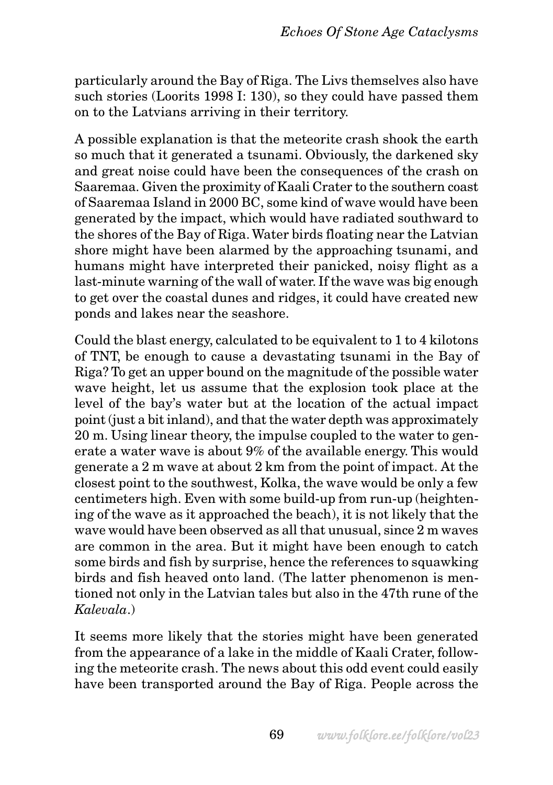particularly around the Bay of Riga. The Livs themselves also have such stories (Loorits 1998 I: 130), so they could have passed them on to the Latvians arriving in their territory.

A possible explanation is that the meteorite crash shook the earth so much that it generated a tsunami. Obviously, the darkened sky and great noise could have been the consequences of the crash on Saaremaa. Given the proximity of Kaali Crater to the southern coast of Saaremaa Island in 2000 BC, some kind of wave would have been generated by the impact, which would have radiated southward to the shores of the Bay of Riga. Water birds floating near the Latvian shore might have been alarmed by the approaching tsunami, and humans might have interpreted their panicked, noisy flight as a last-minute warning of the wall of water. If the wave was big enough to get over the coastal dunes and ridges, it could have created new ponds and lakes near the seashore.

Could the blast energy, calculated to be equivalent to 1 to 4 kilotons of TNT, be enough to cause a devastating tsunami in the Bay of Riga? To get an upper bound on the magnitude of the possible water wave height, let us assume that the explosion took place at the level of the bay's water but at the location of the actual impact point (just a bit inland), and that the water depth was approximately 20 m. Using linear theory, the impulse coupled to the water to generate a water wave is about 9% of the available energy. This would generate a 2 m wave at about 2 km from the point of impact. At the closest point to the southwest, Kolka, the wave would be only a few centimeters high. Even with some build-up from run-up (heightening of the wave as it approached the beach), it is not likely that the wave would have been observed as all that unusual, since 2 m waves are common in the area. But it might have been enough to catch some birds and fish by surprise, hence the references to squawking birds and fish heaved onto land. (The latter phenomenon is mentioned not only in the Latvian tales but also in the 47th rune of the *Kalevala*.)

It seems more likely that the stories might have been generated from the appearance of a lake in the middle of Kaali Crater, following the meteorite crash. The news about this odd event could easily have been transported around the Bay of Riga. People across the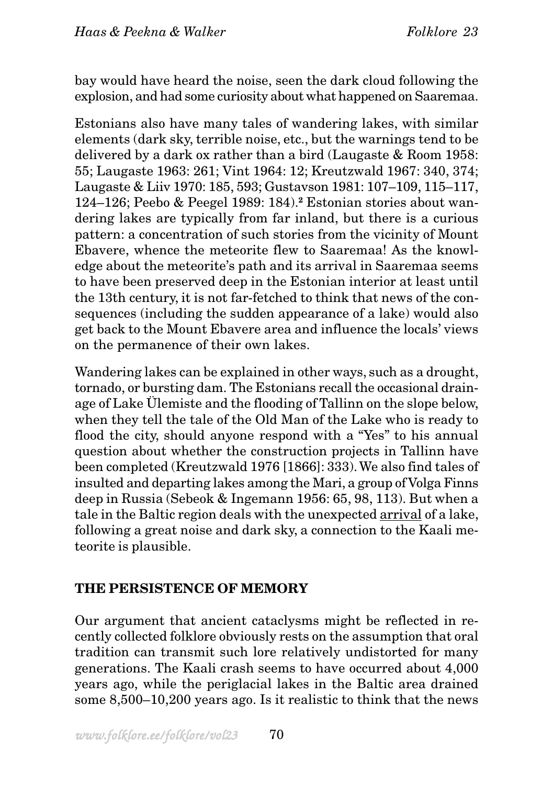bay would have heard the noise, seen the dark cloud following the explosion, and had some curiosity about what happened on Saaremaa.

Estonians also have many tales of wandering lakes, with similar elements (dark sky, terrible noise, etc., but the warnings tend to be delivered by a dark ox rather than a bird (Laugaste & Room 1958: 55; Laugaste 1963: 261; Vint 1964: 12; Kreutzwald 1967: 340, 374; Laugaste & Liiv 1970: 185, 593; Gustavson 1981: 107–109, 115–117, 124–126; Peebo & Peegel 1989: 184).**2** Estonian stories about wandering lakes are typically from far inland, but there is a curious pattern: a concentration of such stories from the vicinity of Mount Ebavere, whence the meteorite flew to Saaremaa! As the knowledge about the meteorite's path and its arrival in Saaremaa seems to have been preserved deep in the Estonian interior at least until the 13th century, it is not far-fetched to think that news of the consequences (including the sudden appearance of a lake) would also get back to the Mount Ebavere area and influence the locals' views on the permanence of their own lakes.

Wandering lakes can be explained in other ways, such as a drought, tornado, or bursting dam. The Estonians recall the occasional drainage of Lake Ülemiste and the flooding of Tallinn on the slope below, when they tell the tale of the Old Man of the Lake who is ready to flood the city, should anyone respond with a "Yes" to his annual question about whether the construction projects in Tallinn have been completed (Kreutzwald 1976 [1866]: 333). We also find tales of insulted and departing lakes among the Mari, a group of Volga Finns deep in Russia (Sebeok & Ingemann 1956: 65, 98, 113). But when a tale in the Baltic region deals with the unexpected arrival of a lake, following a great noise and dark sky, a connection to the Kaali meteorite is plausible.

### **THE PERSISTENCE OF MEMORY**

Our argument that ancient cataclysms might be reflected in recently collected folklore obviously rests on the assumption that oral tradition can transmit such lore relatively undistorted for many generations. The Kaali crash seems to have occurred about 4,000 years ago, while the periglacial lakes in the Baltic area drained some 8,500–10,200 years ago. Is it realistic to think that the news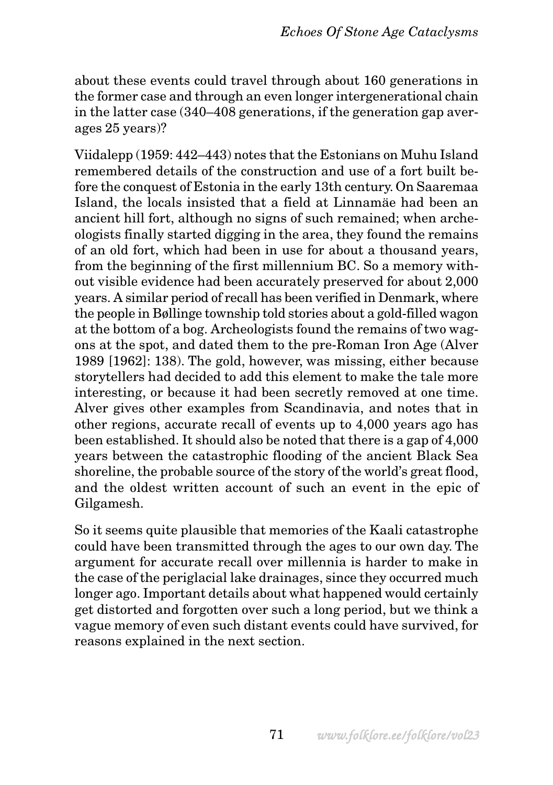about these events could travel through about 160 generations in the former case and through an even longer intergenerational chain in the latter case (340–408 generations, if the generation gap averages 25 years)?

Viidalepp (1959: 442–443) notes that the Estonians on Muhu Island remembered details of the construction and use of a fort built before the conquest of Estonia in the early 13th century. On Saaremaa Island, the locals insisted that a field at Linnamäe had been an ancient hill fort, although no signs of such remained; when archeologists finally started digging in the area, they found the remains of an old fort, which had been in use for about a thousand years, from the beginning of the first millennium BC. So a memory without visible evidence had been accurately preserved for about 2,000 years. A similar period of recall has been verified in Denmark, where the people in Bøllinge township told stories about a gold-filled wagon at the bottom of a bog. Archeologists found the remains of two wagons at the spot, and dated them to the pre-Roman Iron Age (Alver 1989 [1962]: 138). The gold, however, was missing, either because storytellers had decided to add this element to make the tale more interesting, or because it had been secretly removed at one time. Alver gives other examples from Scandinavia, and notes that in other regions, accurate recall of events up to 4,000 years ago has been established. It should also be noted that there is a gap of 4,000 years between the catastrophic flooding of the ancient Black Sea shoreline, the probable source of the story of the world's great flood, and the oldest written account of such an event in the epic of Gilgamesh.

So it seems quite plausible that memories of the Kaali catastrophe could have been transmitted through the ages to our own day. The argument for accurate recall over millennia is harder to make in the case of the periglacial lake drainages, since they occurred much longer ago. Important details about what happened would certainly get distorted and forgotten over such a long period, but we think a vague memory of even such distant events could have survived, for reasons explained in the next section.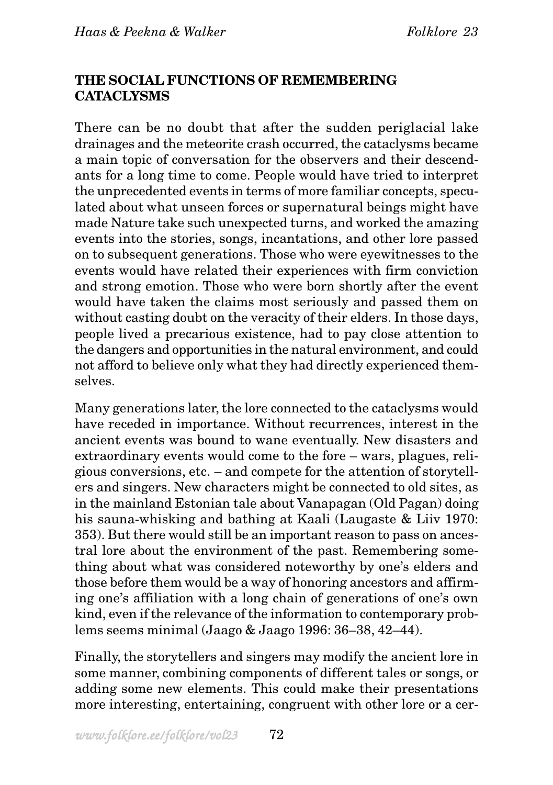## **THE SOCIAL FUNCTIONS OF REMEMBERING CATACLYSMS**

There can be no doubt that after the sudden periglacial lake drainages and the meteorite crash occurred, the cataclysms became a main topic of conversation for the observers and their descendants for a long time to come. People would have tried to interpret the unprecedented events in terms of more familiar concepts, speculated about what unseen forces or supernatural beings might have made Nature take such unexpected turns, and worked the amazing events into the stories, songs, incantations, and other lore passed on to subsequent generations. Those who were eyewitnesses to the events would have related their experiences with firm conviction and strong emotion. Those who were born shortly after the event would have taken the claims most seriously and passed them on without casting doubt on the veracity of their elders. In those days, people lived a precarious existence, had to pay close attention to the dangers and opportunities in the natural environment, and could not afford to believe only what they had directly experienced themselves.

Many generations later, the lore connected to the cataclysms would have receded in importance. Without recurrences, interest in the ancient events was bound to wane eventually. New disasters and extraordinary events would come to the fore – wars, plagues, religious conversions, etc. – and compete for the attention of storytellers and singers. New characters might be connected to old sites, as in the mainland Estonian tale about Vanapagan (Old Pagan) doing his sauna-whisking and bathing at Kaali (Laugaste & Liiv 1970: 353). But there would still be an important reason to pass on ancestral lore about the environment of the past. Remembering something about what was considered noteworthy by one's elders and those before them would be a way of honoring ancestors and affirming one's affiliation with a long chain of generations of one's own kind, even if the relevance of the information to contemporary problems seems minimal (Jaago & Jaago 1996: 36–38, 42–44).

Finally, the storytellers and singers may modify the ancient lore in some manner, combining components of different tales or songs, or adding some new elements. This could make their presentations more interesting, entertaining, congruent with other lore or a cer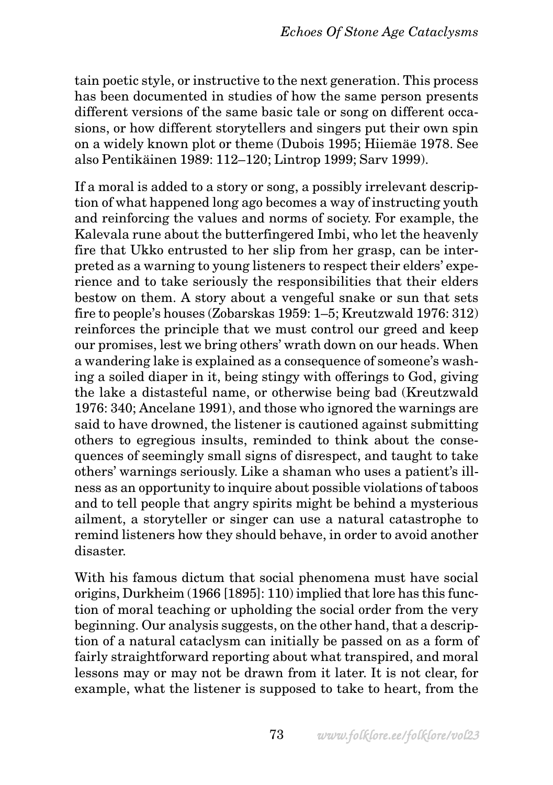tain poetic style, or instructive to the next generation. This process has been documented in studies of how the same person presents different versions of the same basic tale or song on different occasions, or how different storytellers and singers put their own spin on a widely known plot or theme (Dubois 1995; Hiiemäe 1978. See also Pentikäinen 1989: 112–120; Lintrop 1999; Sarv 1999).

If a moral is added to a story or song, a possibly irrelevant description of what happened long ago becomes a way of instructing youth and reinforcing the values and norms of society. For example, the Kalevala rune about the butterfingered Imbi, who let the heavenly fire that Ukko entrusted to her slip from her grasp, can be interpreted as a warning to young listeners to respect their elders' experience and to take seriously the responsibilities that their elders bestow on them. A story about a vengeful snake or sun that sets fire to people's houses (Zobarskas 1959: 1–5; Kreutzwald 1976: 312) reinforces the principle that we must control our greed and keep our promises, lest we bring others' wrath down on our heads. When a wandering lake is explained as a consequence of someone's washing a soiled diaper in it, being stingy with offerings to God, giving the lake a distasteful name, or otherwise being bad (Kreutzwald 1976: 340; Ancelane 1991), and those who ignored the warnings are said to have drowned, the listener is cautioned against submitting others to egregious insults, reminded to think about the consequences of seemingly small signs of disrespect, and taught to take others' warnings seriously. Like a shaman who uses a patient's illness as an opportunity to inquire about possible violations of taboos and to tell people that angry spirits might be behind a mysterious ailment, a storyteller or singer can use a natural catastrophe to remind listeners how they should behave, in order to avoid another disaster.

With his famous dictum that social phenomena must have social origins, Durkheim (1966 [1895]: 110) implied that lore has this function of moral teaching or upholding the social order from the very beginning. Our analysis suggests, on the other hand, that a description of a natural cataclysm can initially be passed on as a form of fairly straightforward reporting about what transpired, and moral lessons may or may not be drawn from it later. It is not clear, for example, what the listener is supposed to take to heart, from the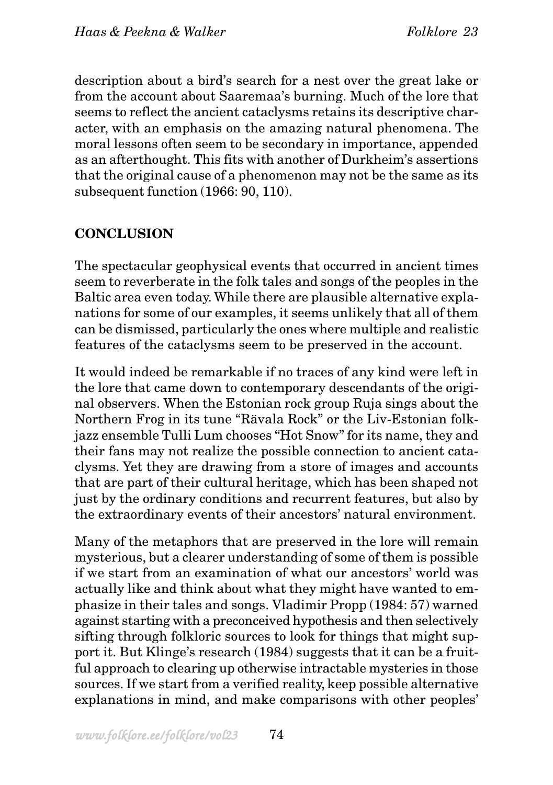description about a bird's search for a nest over the great lake or from the account about Saaremaa's burning. Much of the lore that seems to reflect the ancient cataclysms retains its descriptive character, with an emphasis on the amazing natural phenomena. The moral lessons often seem to be secondary in importance, appended as an afterthought. This fits with another of Durkheim's assertions that the original cause of a phenomenon may not be the same as its subsequent function (1966: 90, 110).

# **CONCLUSION**

The spectacular geophysical events that occurred in ancient times seem to reverberate in the folk tales and songs of the peoples in the Baltic area even today. While there are plausible alternative explanations for some of our examples, it seems unlikely that all of them can be dismissed, particularly the ones where multiple and realistic features of the cataclysms seem to be preserved in the account.

It would indeed be remarkable if no traces of any kind were left in the lore that came down to contemporary descendants of the original observers. When the Estonian rock group Ruja sings about the Northern Frog in its tune "Rävala Rock" or the Liv-Estonian folkjazz ensemble Tulli Lum chooses "Hot Snow" for its name, they and their fans may not realize the possible connection to ancient cataclysms. Yet they are drawing from a store of images and accounts that are part of their cultural heritage, which has been shaped not just by the ordinary conditions and recurrent features, but also by the extraordinary events of their ancestors' natural environment.

Many of the metaphors that are preserved in the lore will remain mysterious, but a clearer understanding of some of them is possible if we start from an examination of what our ancestors' world was actually like and think about what they might have wanted to emphasize in their tales and songs. Vladimir Propp (1984: 57) warned against starting with a preconceived hypothesis and then selectively sifting through folkloric sources to look for things that might support it. But Klinge's research (1984) suggests that it can be a fruitful approach to clearing up otherwise intractable mysteries in those sources. If we start from a verified reality, keep possible alternative explanations in mind, and make comparisons with other peoples'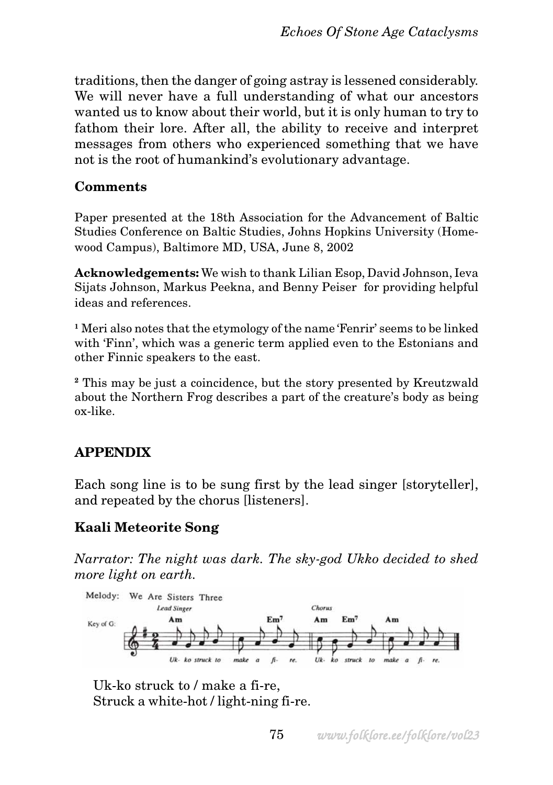traditions, then the danger of going astray is lessened considerably. We will never have a full understanding of what our ancestors wanted us to know about their world, but it is only human to try to fathom their lore. After all, the ability to receive and interpret messages from others who experienced something that we have not is the root of humankind's evolutionary advantage.

#### **Comments**

Paper presented at the 18th Association for the Advancement of Baltic Studies Conference on Baltic Studies, Johns Hopkins University (Homewood Campus), Baltimore MD, USA, June 8, 2002

**Acknowledgements:** We wish to thank Lilian Esop, David Johnson, Ieva Sijats Johnson, Markus Peekna, and Benny Peiser for providing helpful ideas and references.

**<sup>1</sup>** Meri also notes that the etymology of the name 'Fenrir' seems to be linked with 'Finn', which was a generic term applied even to the Estonians and other Finnic speakers to the east.

**<sup>2</sup>** This may be just a coincidence, but the story presented by Kreutzwald about the Northern Frog describes a part of the creature's body as being ox-like.

# **APPENDIX**

Each song line is to be sung first by the lead singer [storyteller], and repeated by the chorus [listeners].

# **Kaali Meteorite Song**

*Narrator: The night was dark. The sky-god Ukko decided to shed more light on earth.*



Uk-ko struck to / make a fi-re, Struck a white-hot / light-ning fi-re.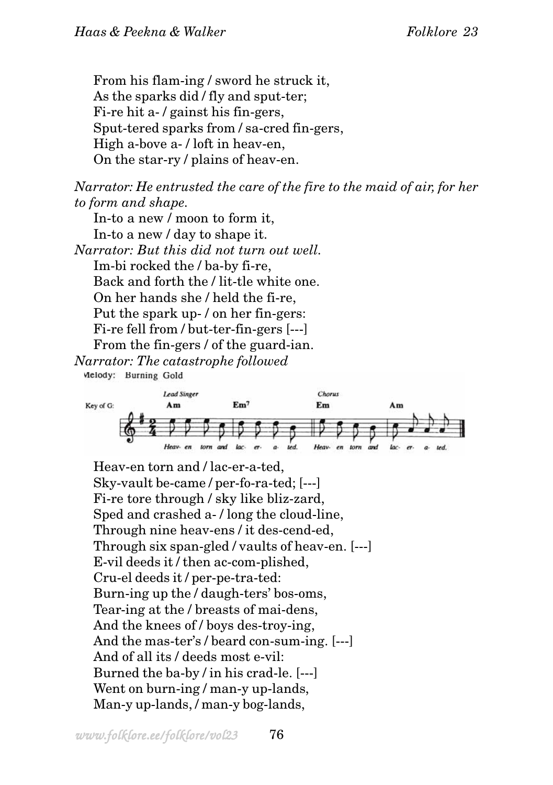From his flam-ing / sword he struck it, As the sparks did / fly and sput-ter; Fi-re hit a- / gainst his fin-gers, Sput-tered sparks from / sa-cred fin-gers, High a-bove a- / loft in heav-en, On the star-ry / plains of heav-en.

*Narrator: He entrusted the care of the fire to the maid of air, for her to form and shape.*

In-to a new / moon to form it, In-to a new / day to shape it. *Narrator: But this did not turn out well.* Im-bi rocked the / ba-by fi-re, Back and forth the / lit-tle white one. On her hands she / held the fi-re, Put the spark up- / on her fin-gers: Fi-re fell from / but-ter-fin-gers [---] From the fin-gers / of the guard-ian. *Narrator: The catastrophe followed*

Melody: Burning Gold



Heav-en torn and / lac-er-a-ted, Sky-vault be-came / per-fo-ra-ted; [---] Fi-re tore through / sky like bliz-zard, Sped and crashed a- / long the cloud-line, Through nine heav-ens / it des-cend-ed, Through six span-gled / vaults of heav-en. [---] E-vil deeds it / then ac-com-plished, Cru-el deeds it / per-pe-tra-ted: Burn-ing up the / daugh-ters' bos-oms, Tear-ing at the / breasts of mai-dens, And the knees of / boys des-troy-ing, And the mas-ter's / beard con-sum-ing. [---] And of all its / deeds most e-vil: Burned the ba-by / in his crad-le. [---] Went on burn-ing / man-y up-lands, Man-y up-lands, / man-y bog-lands,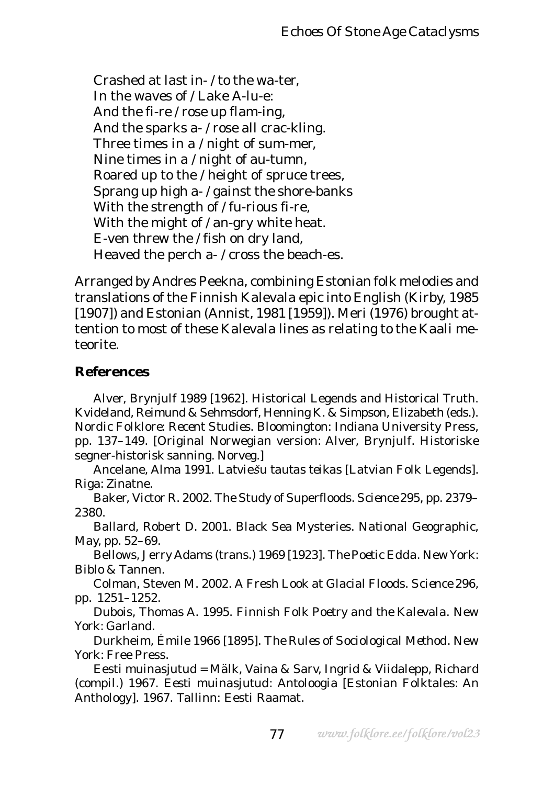Crashed at last in- / to the wa-ter, In the waves of / Lake A-lu-e: And the fi-re / rose up flam-ing, And the sparks a- / rose all crac-kling. Three times in a / night of sum-mer, Nine times in a / night of au-tumn, Roared up to the / height of spruce trees, Sprang up high a- / gainst the shore-banks With the strength of / fu-rious fi-re, With the might of / an-gry white heat. E-ven threw the / fish on dry land, Heaved the perch a- / cross the beach-es.

Arranged by Andres Peekna, combining Estonian folk melodies and translations of the Finnish Kalevala epic into English (Kirby, 1985 [1907]) and Estonian (Annist, 1981 [1959]). Meri (1976) brought attention to most of these Kalevala lines as relating to the Kaali meteorite.

#### **References**

Alver, Brynjulf 1989 [1962]. Historical Legends and Historical Truth. Kvideland, Reimund & Sehmsdorf, Henning K. & Simpson, Elizabeth (eds.). *Nordic Folklore: Recent Studies.* Bloomington: Indiana University Press, pp. 137–149. [Original Norwegian version: Alver, Brynjulf. Historiske segner-historisk sanning. *Norveg*.]

Ancelane, Alma 1991. *Latvie*š*u tautas teikas* [Latvian Folk Legends]*.* Riga: Zinatne.

Baker, Victor R. 2002. The Study of Superfloods. *Science* 295, pp. 2379– 2380.

Ballard, Robert D. 2001. Black Sea Mysteries. *National Geographic,* May, pp. 52–69.

Bellows, Jerry Adams (trans.) 1969 [1923]. *The Poetic Edda.* New York: Biblo & Tannen.

Colman, Steven M. 2002. A Fresh Look at Glacial Floods. *Science* 296, pp. 1251–1252.

Dubois, Thomas A. 1995. *Finnish Folk Poetry and the Kalevala.* New York: Garland.

Durkheim, Émile 1966 [1895]. *The Rules of Sociological Method.* New York: Free Press.

Eesti muinasjutud = Mälk, Vaina & Sarv, Ingrid & Viidalepp, Richard (compil.) 1967. *Eesti muinasjutud*: *Antoloogia* [Estonian Folktales: An Anthology]*.* 1967. Tallinn: Eesti Raamat.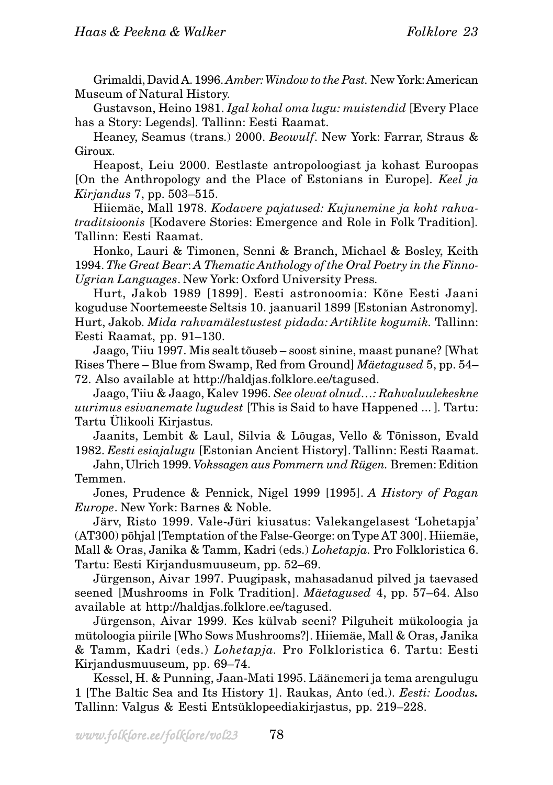Grimaldi, David A. 1996. *Amber: Window to the Past.* New York: American Museum of Natural History.

Gustavson, Heino 1981. *Igal kohal oma lugu: muistendid* [Every Place has a Story: Legends]*.* Tallinn: Eesti Raamat.

Heaney, Seamus (trans.) 2000. *Beowulf*. New York: Farrar, Straus & Giroux.

Heapost, Leiu 2000. Eestlaste antropoloogiast ja kohast Euroopas [On the Anthropology and the Place of Estonians in Europe]*. Keel ja Kirjandus* 7, pp. 503–515.

Hiiemäe, Mall 1978. *Kodavere pajatused: Kujunemine ja koht rahvatraditsioonis* [Kodavere Stories: Emergence and Role in Folk Tradition]*.* Tallinn: Eesti Raamat.

Honko, Lauri & Timonen, Senni & Branch, Michael & Bosley, Keith 1994. *The Great Bear*: *A Thematic Anthology of the Oral Poetry in the Finno-Ugrian Languages*. New York: Oxford University Press.

Hurt, Jakob 1989 [1899]. Eesti astronoomia: Kõne Eesti Jaani koguduse Noortemeeste Seltsis 10. jaanuaril 1899 [Estonian Astronomy]*.* Hurt, Jakob. *Mida rahvamälestustest pidada: Artiklite kogumik.* Tallinn: Eesti Raamat, pp. 91–130.

Jaago, Tiiu 1997. Mis sealt tõuseb – soost sinine, maast punane? [What Rises There – Blue from Swamp, Red from Ground] *Mäetagused* 5, pp. 54– 72. Also available at http://haldjas.folklore.ee/tagused.

Jaago, Tiiu & Jaago, Kalev 1996. *See olevat olnud…: Rahvaluulekeskne uurimus esivanemate lugudest* [This is Said to have Happened ... ]*.* Tartu: Tartu Ülikooli Kirjastus.

Jaanits, Lembit & Laul, Silvia & Lõugas, Vello & Tõnisson, Evald 1982. *Eesti esiajalugu* [Estonian Ancient History]. Tallinn: Eesti Raamat.

Jahn, Ulrich 1999. *Vokssagen aus Pommern und Rügen.* Bremen: Edition Temmen.

Jones, Prudence & Pennick, Nigel 1999 [1995]. *A History of Pagan Europe*. New York: Barnes & Noble.

Järv, Risto 1999. Vale-Jüri kiusatus: Valekangelasest 'Lohetapja' (AT300) põhjal [Temptation of the False-George: on Type AT 300]. Hiiemäe, Mall & Oras, Janika & Tamm, Kadri (eds.) *Lohetapja.* Pro Folkloristica 6. Tartu: Eesti Kirjandusmuuseum, pp. 52–69.

Jürgenson, Aivar 1997. Puugipask, mahasadanud pilved ja taevased seened [Mushrooms in Folk Tradition]. *Mäetagused* 4, pp. 57–64. Also available at http://haldjas.folklore.ee/tagused.

Jürgenson, Aivar 1999. Kes külvab seeni? Pilguheit mükoloogia ja mütoloogia piirile [Who Sows Mushrooms?]. Hiiemäe, Mall & Oras, Janika & Tamm, Kadri (eds.) *Lohetapja.* Pro Folkloristica 6. Tartu: Eesti Kirjandusmuuseum, pp. 69–74.

Kessel, H. & Punning, Jaan-Mati 1995. Läänemeri ja tema arengulugu 1 [The Baltic Sea and Its History 1]. Raukas, Anto (ed.). *Eesti: Loodus.* Tallinn: Valgus & Eesti Entsüklopeediakirjastus, pp. 219–228.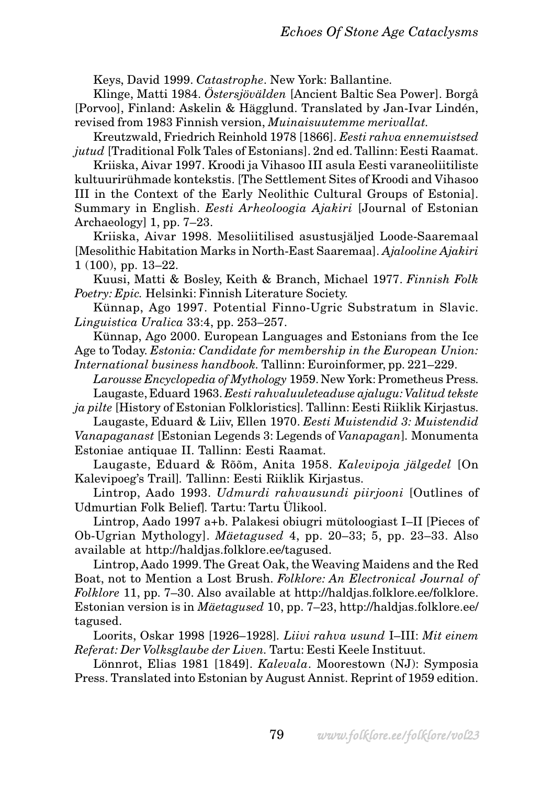Keys, David 1999. *Catastrophe*. New York: Ballantine.

Klinge, Matti 1984. *Östersjövälden* [Ancient Baltic Sea Power]. Borgå [Porvoo], Finland: Askelin & Hägglund. Translated by Jan-Ivar Lindén, revised from 1983 Finnish version, *Muinaisuutemme merivallat.*

Kreutzwald, Friedrich Reinhold 1978 [1866]. *Eesti rahva ennemuistsed jutud* [Traditional Folk Tales of Estonians]. 2nd ed. Tallinn: Eesti Raamat.

Kriiska, Aivar 1997. Kroodi ja Vihasoo III asula Eesti varaneoliitiliste kultuurirühmade kontekstis. [The Settlement Sites of Kroodi and Vihasoo III in the Context of the Early Neolithic Cultural Groups of Estonia]. Summary in English. *Eesti Arheoloogia Ajakiri* [Journal of Estonian Archaeology] 1, pp. 7–23.

Kriiska, Aivar 1998. Mesoliitilised asustusjäljed Loode-Saaremaal [Mesolithic Habitation Marks in North-East Saaremaa]. *Ajalooline Ajakiri* 1 (100), pp. 13–22.

Kuusi, Matti & Bosley, Keith & Branch, Michael 1977. *Finnish Folk Poetry: Epic.* Helsinki: Finnish Literature Society.

Künnap, Ago 1997. Potential Finno-Ugric Substratum in Slavic. *Linguistica Uralica* 33:4, pp. 253–257.

Künnap, Ago 2000. European Languages and Estonians from the Ice Age to Today. *Estonia: Candidate for membership in the European Union:*

*International business handbook.* Tallinn: Euroinformer, pp. 221–229.

*Larousse Encyclopedia of Mythology* 1959. New York: Prometheus Press. Laugaste, Eduard 1963. *Eesti rahvaluuleteaduse ajalugu: Valitud tekste*

*ja pilte* [History of Estonian Folkloristics]*.* Tallinn: Eesti Riiklik Kirjastus. Laugaste, Eduard & Liiv, Ellen 1970. *Eesti Muistendid 3: Muistendid*

*Vanapaganast* [Estonian Legends 3: Legends of *Vanapagan*]*.* Monumenta Estoniae antiquae II. Tallinn: Eesti Raamat.

Laugaste, Eduard & Rõõm, Anita 1958. *Kalevipoja jälgedel* [On Kalevipoeg's Trail]*.* Tallinn: Eesti Riiklik Kirjastus.

Lintrop, Aado 1993. *Udmurdi rahvausundi piirjooni* [Outlines of Udmurtian Folk Belief]*.* Tartu: Tartu Ülikool.

Lintrop, Aado 1997 a+b. Palakesi obiugri mütoloogiast I–II [Pieces of Ob-Ugrian Mythology]. *Mäetagused* 4, pp. 20–33; 5, pp. 23–33. Also available at http://haldjas.folklore.ee/tagused.

Lintrop, Aado 1999. The Great Oak, the Weaving Maidens and the Red Boat, not to Mention a Lost Brush. *Folklore: An Electronical Journal of Folklore* 11, pp. 7–30. Also available at http://haldjas.folklore.ee/folklore. Estonian version is in *Mäetagused* 10, pp. 7–23, http://haldjas.folklore.ee/ tagused.

Loorits, Oskar 1998 [1926–1928]*. Liivi rahva usund* I–III: *Mit einem Referat: Der Volksglaube der Liven.* Tartu: Eesti Keele Instituut.

Lönnrot, Elias 1981 [1849]. *Kalevala*. Moorestown (NJ): Symposia Press. Translated into Estonian by August Annist. Reprint of 1959 edition.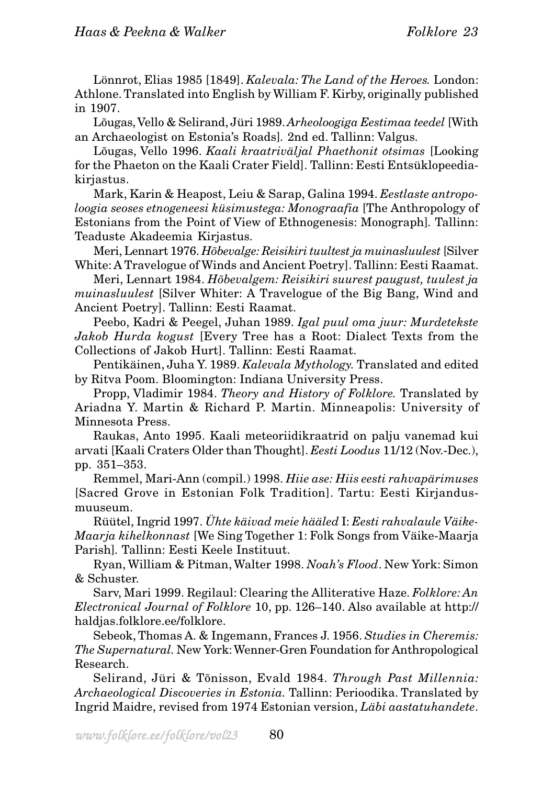Lönnrot, Elias 1985 [1849]. *Kalevala: The Land of the Heroes.* London: Athlone. Translated into English by William F. Kirby, originally published in 1907.

Lõugas, Vello & Selirand, Jüri 1989. *Arheoloogiga Eestimaa teedel* [With an Archaeologist on Estonia's Roads]*.* 2nd ed. Tallinn: Valgus.

Lõugas, Vello 1996. *Kaali kraatriväljal Phaethonit otsimas* [Looking for the Phaeton on the Kaali Crater Field]. Tallinn: Eesti Entsüklopeediakirjastus.

Mark, Karin & Heapost, Leiu & Sarap, Galina 1994. *Eestlaste antropoloogia seoses etnogeneesi küsimustega: Monograafia* [The Anthropology of Estonians from the Point of View of Ethnogenesis: Monograph]*.* Tallinn: Teaduste Akadeemia Kirjastus.

Meri, Lennart 1976. *Hõbevalge: Reisikiri tuultest ja muinasluulest* [Silver White: A Travelogue of Winds and Ancient Poetry]. Tallinn: Eesti Raamat.

Meri, Lennart 1984. *Hõbevalgem: Reisikiri suurest paugust, tuulest ja muinasluulest* [Silver Whiter: A Travelogue of the Big Bang, Wind and Ancient Poetry]. Tallinn: Eesti Raamat.

Peebo, Kadri & Peegel, Juhan 1989. *Igal puul oma juur: Murdetekste Jakob Hurda kogust* [Every Tree has a Root: Dialect Texts from the Collections of Jakob Hurt]. Tallinn: Eesti Raamat.

Pentikäinen, Juha Y. 1989. *Kalevala Mythology.* Translated and edited by Ritva Poom. Bloomington: Indiana University Press.

Propp, Vladimir 1984. *Theory and History of Folklore.* Translated by Ariadna Y. Martin & Richard P. Martin. Minneapolis: University of Minnesota Press.

Raukas, Anto 1995. Kaali meteoriidikraatrid on palju vanemad kui arvati [Kaali Craters Older than Thought]. *Eesti Loodus* 11/12 (Nov.-Dec.), pp. 351–353.

Remmel, Mari-Ann (compil.) 1998. *Hiie ase: Hiis eesti rahvapärimuses* [Sacred Grove in Estonian Folk Tradition]. Tartu: Eesti Kirjandusmuuseum.

Rüütel, Ingrid 1997. *Ühte käivad meie hääled* I: *Eesti rahvalaule Väike-Maarja kihelkonnast* [We Sing Together 1: Folk Songs from Väike-Maarja Parish]*.* Tallinn: Eesti Keele Instituut.

Ryan, William & Pitman, Walter 1998. *Noah's Flood*. New York: Simon & Schuster.

Sarv, Mari 1999. Regilaul: Clearing the Alliterative Haze. *Folklore: An Electronical Journal of Folklore* 10, pp. 126–140. Also available at http:// haldjas.folklore.ee/folklore.

Sebeok, Thomas A. & Ingemann, Frances J. 1956. *Studies in Cheremis: The Supernatural.* New York: Wenner-Gren Foundation for Anthropological Research.

Selirand, Jüri & Tõnisson, Evald 1984. *Through Past Millennia: Archaeological Discoveries in Estonia.* Tallinn: Perioodika. Translated by Ingrid Maidre, revised from 1974 Estonian version, *Läbi aastatuhandete*.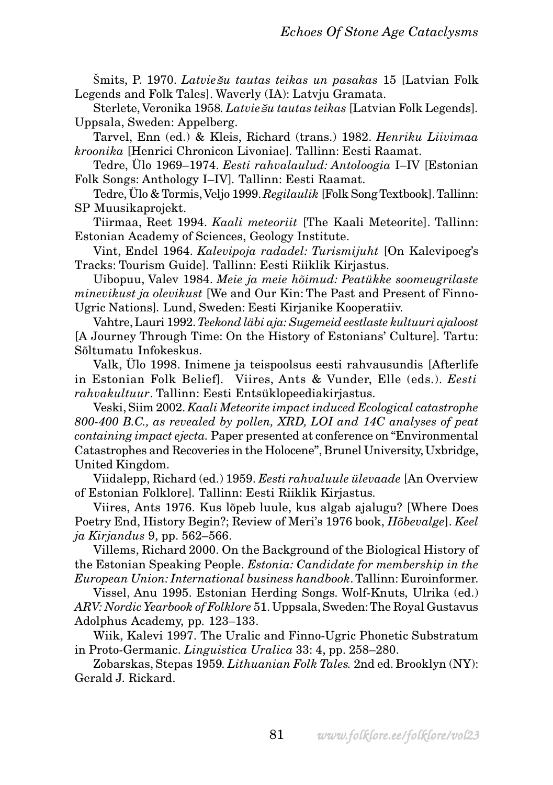Šmits, P. 1970. *Latvie*š*u tautas teikas un pasakas* 15 [Latvian Folk Legends and Folk Tales]. Waverly (IA): Latvju Gramata.

Sterlete, Veronika 1958*. Latvie*š*u tautas teikas* [Latvian Folk Legends]*.* Uppsala, Sweden: Appelberg.

Tarvel, Enn (ed.) & Kleis, Richard (trans.) 1982. *Henriku Liivimaa kroonika* [Henrici Chronicon Livoniae]*.* Tallinn: Eesti Raamat.

Tedre, Ülo 1969–1974. *Eesti rahvalaulud: Antoloogia* I–IV [Estonian Folk Songs: Anthology I–IV]*.* Tallinn: Eesti Raamat.

Tedre, Ülo & Tormis, Veljo 1999. *Regilaulik* [Folk Song Textbook]. Tallinn: SP Muusikaprojekt.

Tiirmaa, Reet 1994. *Kaali meteoriit* [The Kaali Meteorite]. Tallinn: Estonian Academy of Sciences, Geology Institute.

Vint, Endel 1964. *Kalevipoja radadel: Turismijuht* [On Kalevipoeg's Tracks: Tourism Guide]*.* Tallinn: Eesti Riiklik Kirjastus.

Uibopuu, Valev 1984. *Meie ja meie hõimud: Peatükke soomeugrilaste minevikust ja olevikust* [We and Our Kin: The Past and Present of Finno-Ugric Nations]*.* Lund, Sweden: Eesti Kirjanike Kooperatiiv.

Vahtre, Lauri 1992. *Teekond läbi aja: Sugemeid eestlaste kultuuri ajaloost* [A Journey Through Time: On the History of Estonians' Culture]*.* Tartu: Sõltumatu Infokeskus.

Valk, Ülo 1998. Inimene ja teispoolsus eesti rahvausundis [Afterlife in Estonian Folk Belief]*.* Viires, Ants & Vunder, Elle (eds.). *Eesti rahvakultuur*. Tallinn: Eesti Entsüklopeediakirjastus.

Veski, Siim 2002. *Kaali Meteorite impact induced Ecological catastrophe 800-400 B.C., as revealed by pollen, XRD, LOI and 14C analyses of peat containing impact ejecta.* Paper presented at conference on "Environmental Catastrophes and Recoveries in the Holocene", Brunel University, Uxbridge, United Kingdom.

Viidalepp, Richard (ed.) 1959. *Eesti rahvaluule ülevaade* [An Overview of Estonian Folklore]*.* Tallinn: Eesti Riiklik Kirjastus.

Viires, Ants 1976. Kus lõpeb luule, kus algab ajalugu? [Where Does Poetry End, History Begin?; Review of Meri's 1976 book, *Hõbevalge*]. *Keel ja Kirjandus* 9, pp. 562–566.

Villems, Richard 2000. On the Background of the Biological History of the Estonian Speaking People. *Estonia: Candidate for membership in the European Union: International business handbook*. Tallinn: Euroinformer.

Vissel, Anu 1995. Estonian Herding Songs. Wolf-Knuts, Ulrika (ed.) *ARV: Nordic Yearbook of Folklore* 51. Uppsala, Sweden: The Royal Gustavus Adolphus Academy, pp. 123–133.

Wiik, Kalevi 1997. The Uralic and Finno-Ugric Phonetic Substratum in Proto-Germanic. *Linguistica Uralica* 33: 4, pp. 258–280.

Zobarskas, Stepas 1959*. Lithuanian Folk Tales.* 2nd ed. Brooklyn (NY): Gerald J. Rickard.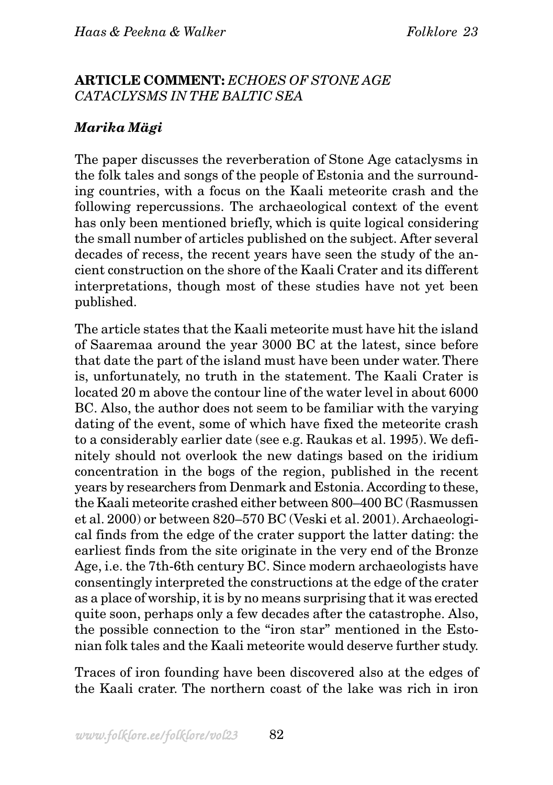### **ARTICLE COMMENT:** *ECHOES OF STONE AGE CATACLYSMS IN THE BALTIC SEA*

# *Marika Mägi*

The paper discusses the reverberation of Stone Age cataclysms in the folk tales and songs of the people of Estonia and the surrounding countries, with a focus on the Kaali meteorite crash and the following repercussions. The archaeological context of the event has only been mentioned briefly, which is quite logical considering the small number of articles published on the subject. After several decades of recess, the recent years have seen the study of the ancient construction on the shore of the Kaali Crater and its different interpretations, though most of these studies have not yet been published.

The article states that the Kaali meteorite must have hit the island of Saaremaa around the year 3000 BC at the latest, since before that date the part of the island must have been under water. There is, unfortunately, no truth in the statement. The Kaali Crater is located 20 m above the contour line of the water level in about 6000 BC. Also, the author does not seem to be familiar with the varying dating of the event, some of which have fixed the meteorite crash to a considerably earlier date (see e.g. Raukas et al. 1995). We definitely should not overlook the new datings based on the iridium concentration in the bogs of the region, published in the recent years by researchers from Denmark and Estonia. According to these, the Kaali meteorite crashed either between 800–400 BC (Rasmussen et al. 2000) or between 820–570 BC (Veski et al. 2001). Archaeological finds from the edge of the crater support the latter dating: the earliest finds from the site originate in the very end of the Bronze Age, i.e. the 7th-6th century BC. Since modern archaeologists have consentingly interpreted the constructions at the edge of the crater as a place of worship, it is by no means surprising that it was erected quite soon, perhaps only a few decades after the catastrophe. Also, the possible connection to the "iron star" mentioned in the Estonian folk tales and the Kaali meteorite would deserve further study.

Traces of iron founding have been discovered also at the edges of the Kaali crater. The northern coast of the lake was rich in iron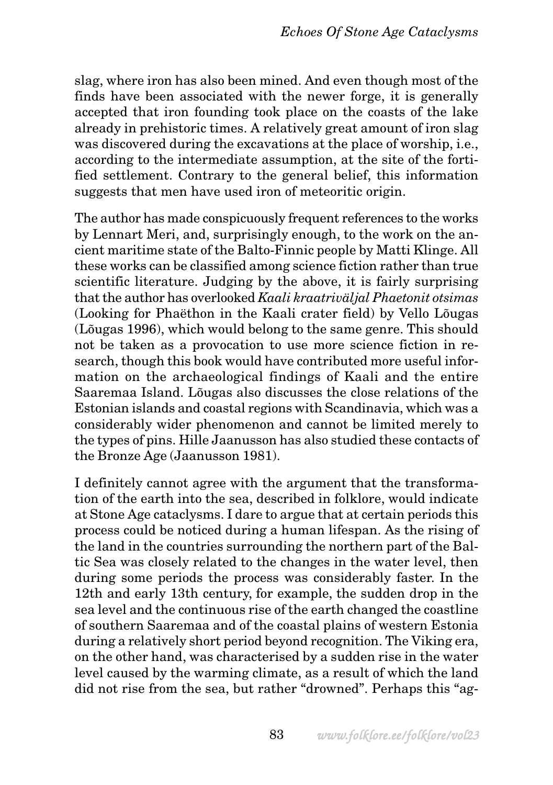slag, where iron has also been mined. And even though most of the finds have been associated with the newer forge, it is generally accepted that iron founding took place on the coasts of the lake already in prehistoric times. A relatively great amount of iron slag was discovered during the excavations at the place of worship, i.e., according to the intermediate assumption, at the site of the fortified settlement. Contrary to the general belief, this information suggests that men have used iron of meteoritic origin.

The author has made conspicuously frequent references to the works by Lennart Meri, and, surprisingly enough, to the work on the ancient maritime state of the Balto-Finnic people by Matti Klinge. All these works can be classified among science fiction rather than true scientific literature. Judging by the above, it is fairly surprising that the author has overlooked *Kaali kraatriväljal Phaetonit otsimas* (Looking for Phaëthon in the Kaali crater field) by Vello Lõugas (Lõugas 1996), which would belong to the same genre. This should not be taken as a provocation to use more science fiction in research, though this book would have contributed more useful information on the archaeological findings of Kaali and the entire Saaremaa Island. Lõugas also discusses the close relations of the Estonian islands and coastal regions with Scandinavia, which was a considerably wider phenomenon and cannot be limited merely to the types of pins. Hille Jaanusson has also studied these contacts of the Bronze Age (Jaanusson 1981).

I definitely cannot agree with the argument that the transformation of the earth into the sea, described in folklore, would indicate at Stone Age cataclysms. I dare to argue that at certain periods this process could be noticed during a human lifespan. As the rising of the land in the countries surrounding the northern part of the Baltic Sea was closely related to the changes in the water level, then during some periods the process was considerably faster. In the 12th and early 13th century, for example, the sudden drop in the sea level and the continuous rise of the earth changed the coastline of southern Saaremaa and of the coastal plains of western Estonia during a relatively short period beyond recognition. The Viking era, on the other hand, was characterised by a sudden rise in the water level caused by the warming climate, as a result of which the land did not rise from the sea, but rather "drowned". Perhaps this "ag-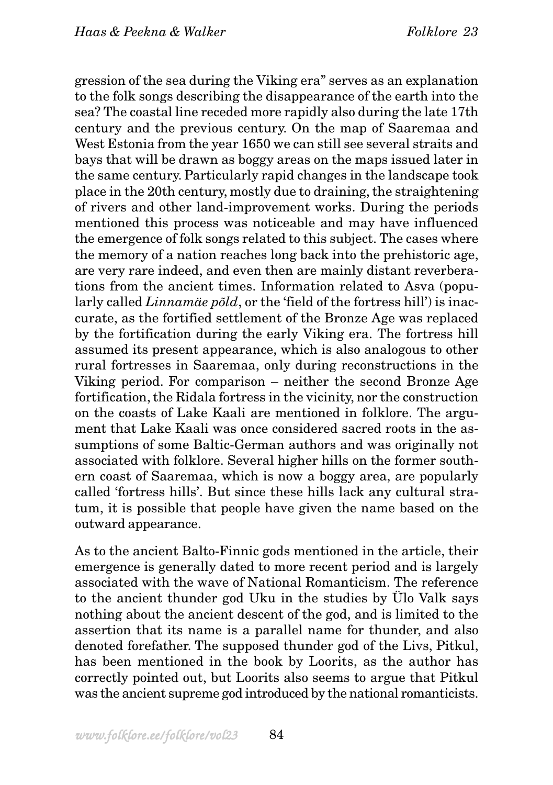gression of the sea during the Viking era" serves as an explanation to the folk songs describing the disappearance of the earth into the sea? The coastal line receded more rapidly also during the late 17th century and the previous century. On the map of Saaremaa and West Estonia from the year 1650 we can still see several straits and bays that will be drawn as boggy areas on the maps issued later in the same century. Particularly rapid changes in the landscape took place in the 20th century, mostly due to draining, the straightening of rivers and other land-improvement works. During the periods mentioned this process was noticeable and may have influenced the emergence of folk songs related to this subject. The cases where the memory of a nation reaches long back into the prehistoric age, are very rare indeed, and even then are mainly distant reverberations from the ancient times. Information related to Asva (popularly called *Linnamäe põld*, or the 'field of the fortress hill') is inaccurate, as the fortified settlement of the Bronze Age was replaced by the fortification during the early Viking era. The fortress hill assumed its present appearance, which is also analogous to other rural fortresses in Saaremaa, only during reconstructions in the Viking period. For comparison – neither the second Bronze Age fortification, the Ridala fortress in the vicinity, nor the construction on the coasts of Lake Kaali are mentioned in folklore. The argument that Lake Kaali was once considered sacred roots in the assumptions of some Baltic-German authors and was originally not associated with folklore. Several higher hills on the former southern coast of Saaremaa, which is now a boggy area, are popularly called 'fortress hills'. But since these hills lack any cultural stratum, it is possible that people have given the name based on the outward appearance.

As to the ancient Balto-Finnic gods mentioned in the article, their emergence is generally dated to more recent period and is largely associated with the wave of National Romanticism. The reference to the ancient thunder god Uku in the studies by Ülo Valk says nothing about the ancient descent of the god, and is limited to the assertion that its name is a parallel name for thunder, and also denoted forefather. The supposed thunder god of the Livs, Pitkul, has been mentioned in the book by Loorits, as the author has correctly pointed out, but Loorits also seems to argue that Pitkul was the ancient supreme god introduced by the national romanticists.